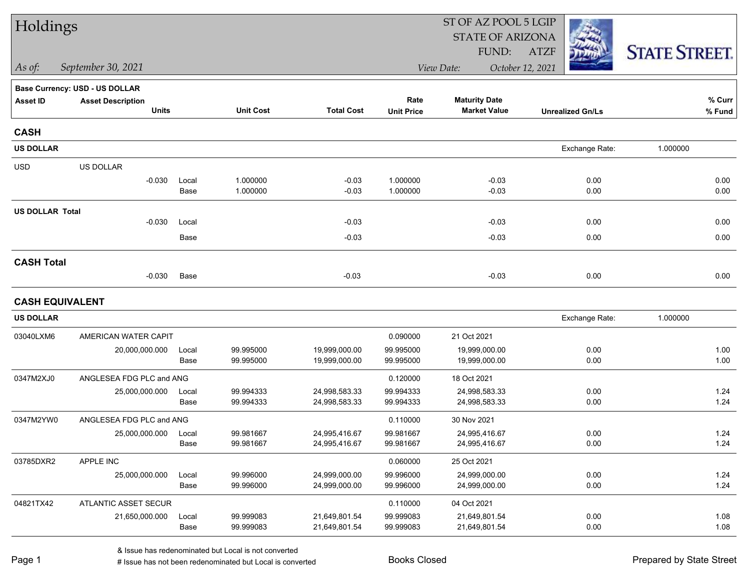| Holdings               |                                          |               |                        |                                |                        | ST OF AZ POOL 5 LGIP                        |                         |                      |
|------------------------|------------------------------------------|---------------|------------------------|--------------------------------|------------------------|---------------------------------------------|-------------------------|----------------------|
|                        |                                          |               |                        |                                |                        | <b>STATE OF ARIZONA</b>                     |                         |                      |
|                        |                                          |               |                        |                                |                        | FUND:                                       | <b>ATZF</b>             | <b>STATE STREET.</b> |
| $\vert$ As of:         | September 30, 2021                       |               |                        |                                |                        | View Date:                                  | October 12, 2021        |                      |
|                        | <b>Base Currency: USD - US DOLLAR</b>    |               |                        |                                |                        |                                             |                         |                      |
| <b>Asset ID</b>        | <b>Asset Description</b><br><b>Units</b> |               | <b>Unit Cost</b>       | <b>Total Cost</b>              | Rate                   | <b>Maturity Date</b><br><b>Market Value</b> |                         | % Curr               |
|                        |                                          |               |                        |                                | <b>Unit Price</b>      |                                             | <b>Unrealized Gn/Ls</b> | % Fund               |
| <b>CASH</b>            |                                          |               |                        |                                |                        |                                             |                         |                      |
| <b>US DOLLAR</b>       |                                          |               |                        |                                |                        |                                             | Exchange Rate:          | 1.000000             |
| <b>USD</b>             | US DOLLAR                                |               |                        |                                |                        |                                             |                         |                      |
|                        | $-0.030$                                 | Local         | 1.000000               | $-0.03$                        | 1.000000               | $-0.03$                                     | 0.00                    | 0.00                 |
|                        |                                          | Base          | 1.000000               | $-0.03$                        | 1.000000               | $-0.03$                                     | 0.00                    | 0.00                 |
| <b>US DOLLAR Total</b> |                                          |               |                        |                                |                        |                                             |                         |                      |
|                        | $-0.030$                                 | Local         |                        | $-0.03$                        |                        | $-0.03$                                     | 0.00                    | 0.00                 |
|                        |                                          | Base          |                        | $-0.03$                        |                        | $-0.03$                                     | 0.00                    | 0.00                 |
| <b>CASH Total</b>      |                                          |               |                        |                                |                        |                                             |                         |                      |
|                        | $-0.030$                                 | Base          |                        | $-0.03$                        |                        | $-0.03$                                     | 0.00                    | 0.00                 |
| <b>CASH EQUIVALENT</b> |                                          |               |                        |                                |                        |                                             |                         |                      |
| <b>US DOLLAR</b>       |                                          |               |                        |                                |                        |                                             | Exchange Rate:          | 1.000000             |
| 03040LXM6              | AMERICAN WATER CAPIT                     |               |                        |                                | 0.090000               | 21 Oct 2021                                 |                         |                      |
|                        | 20,000,000.000                           | Local         | 99.995000              | 19,999,000.00                  | 99.995000              | 19,999,000.00                               | 0.00                    | 1.00                 |
|                        |                                          | Base          | 99.995000              | 19,999,000.00                  | 99.995000              | 19,999,000.00                               | 0.00                    | 1.00                 |
| 0347M2XJ0              | ANGLESEA FDG PLC and ANG                 |               |                        |                                | 0.120000               | 18 Oct 2021                                 |                         |                      |
|                        | 25,000,000.000                           | Local         | 99.994333              | 24,998,583.33                  | 99.994333              | 24,998,583.33                               | 0.00                    | 1.24                 |
|                        |                                          | Base          | 99.994333              | 24,998,583.33                  | 99.994333              | 24,998,583.33                               | 0.00                    | 1.24                 |
| 0347M2YW0              | ANGLESEA FDG PLC and ANG                 |               |                        |                                | 0.110000               | 30 Nov 2021                                 |                         |                      |
|                        | 25,000,000.000                           | Local<br>Base | 99.981667<br>99.981667 | 24,995,416.67                  | 99.981667<br>99.981667 | 24,995,416.67<br>24,995,416.67              | 0.00<br>0.00            | 1.24<br>1.24         |
|                        |                                          |               |                        | 24,995,416.67                  |                        |                                             |                         |                      |
| 03785DXR2              | APPLE INC                                |               |                        |                                | 0.060000               | 25 Oct 2021                                 |                         |                      |
|                        | 25,000,000.000                           | Local<br>Base | 99.996000<br>99.996000 | 24,999,000.00<br>24,999,000.00 | 99.996000<br>99.996000 | 24,999,000.00<br>24,999,000.00              | 0.00<br>0.00            | 1.24<br>1.24         |
|                        |                                          |               |                        |                                |                        |                                             |                         |                      |
| 04821TX42              | ATLANTIC ASSET SECUR                     |               |                        |                                | 0.110000               | 04 Oct 2021                                 |                         |                      |
|                        | 21,650,000.000                           | Local<br>Base | 99.999083<br>99.999083 | 21,649,801.54<br>21,649,801.54 | 99.999083<br>99.999083 | 21,649,801.54<br>21,649,801.54              | 0.00<br>0.00            | 1.08<br>1.08         |
|                        |                                          |               |                        |                                |                        |                                             |                         |                      |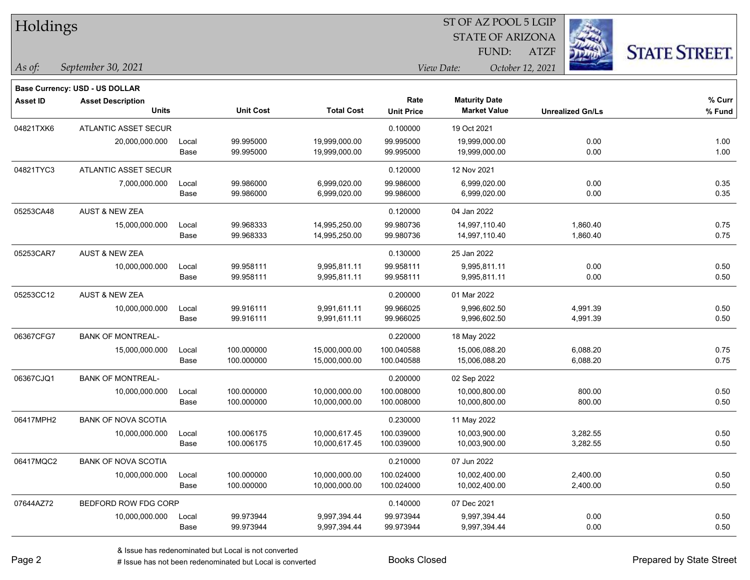| Holdings |
|----------|
|----------|

### STATE OF ARIZONA ST OF AZ POOL 5 LGIP FUND:

ATZF



**Base Currency: USD - US DOLLAR**

*September 30, 2021 As of: View Date: October 12, 2021*

| <b>Asset ID</b> | <b>Asset Description</b><br><b>Units</b> |       | <b>Unit Cost</b> | <b>Total Cost</b> | Rate<br><b>Unit Price</b> | <b>Maturity Date</b><br><b>Market Value</b> | <b>Unrealized Gn/Ls</b> | % Curr<br>% Fund |
|-----------------|------------------------------------------|-------|------------------|-------------------|---------------------------|---------------------------------------------|-------------------------|------------------|
|                 |                                          |       |                  |                   |                           |                                             |                         |                  |
| 04821TXK6       | ATLANTIC ASSET SECUR                     |       |                  |                   | 0.100000                  | 19 Oct 2021                                 |                         |                  |
|                 | 20,000,000.000                           | Local | 99.995000        | 19,999,000.00     | 99.995000                 | 19,999,000.00                               | 0.00                    | 1.00             |
|                 |                                          | Base  | 99.995000        | 19,999,000.00     | 99.995000                 | 19,999,000.00                               | 0.00                    | 1.00             |
| 04821TYC3       | <b>ATLANTIC ASSET SECUR</b>              |       |                  |                   | 0.120000                  | 12 Nov 2021                                 |                         |                  |
|                 | 7,000,000.000                            | Local | 99.986000        | 6,999,020.00      | 99.986000                 | 6,999,020.00                                | 0.00                    | 0.35             |
|                 |                                          | Base  | 99.986000        | 6,999,020.00      | 99.986000                 | 6,999,020.00                                | 0.00                    | 0.35             |
| 05253CA48       | <b>AUST &amp; NEW ZEA</b>                |       |                  |                   | 0.120000                  | 04 Jan 2022                                 |                         |                  |
|                 | 15,000,000.000                           | Local | 99.968333        | 14,995,250.00     | 99.980736                 | 14,997,110.40                               | 1,860.40                | 0.75             |
|                 |                                          | Base  | 99.968333        | 14,995,250.00     | 99.980736                 | 14,997,110.40                               | 1,860.40                | 0.75             |
| 05253CAR7       | <b>AUST &amp; NEW ZEA</b>                |       |                  |                   | 0.130000                  | 25 Jan 2022                                 |                         |                  |
|                 | 10,000,000.000                           | Local | 99.958111        | 9,995,811.11      | 99.958111                 | 9,995,811.11                                | 0.00                    | 0.50             |
|                 |                                          | Base  | 99.958111        | 9,995,811.11      | 99.958111                 | 9,995,811.11                                | 0.00                    | 0.50             |
| 05253CC12       | <b>AUST &amp; NEW ZEA</b>                |       |                  |                   | 0.200000                  | 01 Mar 2022                                 |                         |                  |
|                 | 10,000,000.000                           | Local | 99.916111        | 9,991,611.11      | 99.966025                 | 9,996,602.50                                | 4,991.39                | 0.50             |
|                 |                                          | Base  | 99.916111        | 9,991,611.11      | 99.966025                 | 9,996,602.50                                | 4,991.39                | 0.50             |
| 06367CFG7       | <b>BANK OF MONTREAL-</b>                 |       |                  |                   | 0.220000                  | 18 May 2022                                 |                         |                  |
|                 | 15,000,000.000                           | Local | 100.000000       | 15,000,000.00     | 100.040588                | 15,006,088.20                               | 6,088.20                | 0.75             |
|                 |                                          | Base  | 100.000000       | 15,000,000.00     | 100.040588                | 15,006,088.20                               | 6,088.20                | 0.75             |
| 06367CJQ1       | <b>BANK OF MONTREAL-</b>                 |       |                  |                   | 0.200000                  | 02 Sep 2022                                 |                         |                  |
|                 | 10,000,000.000                           | Local | 100.000000       | 10,000,000.00     | 100.008000                | 10,000,800.00                               | 800.00                  | 0.50             |
|                 |                                          | Base  | 100.000000       | 10,000,000.00     | 100.008000                | 10,000,800.00                               | 800.00                  | 0.50             |
| 06417MPH2       | <b>BANK OF NOVA SCOTIA</b>               |       |                  |                   | 0.230000                  | 11 May 2022                                 |                         |                  |
|                 | 10,000,000.000                           | Local | 100.006175       | 10,000,617.45     | 100.039000                | 10,003,900.00                               | 3,282.55                | 0.50             |
|                 |                                          | Base  | 100.006175       | 10,000,617.45     | 100.039000                | 10,003,900.00                               | 3,282.55                | 0.50             |
| 06417MQC2       | <b>BANK OF NOVA SCOTIA</b>               |       |                  |                   | 0.210000                  | 07 Jun 2022                                 |                         |                  |
|                 | 10,000,000.000                           | Local | 100.000000       | 10,000,000.00     | 100.024000                | 10,002,400.00                               | 2,400.00                | 0.50             |
|                 |                                          | Base  | 100.000000       | 10,000,000.00     | 100.024000                | 10,002,400.00                               | 2,400.00                | 0.50             |
| 07644AZ72       | BEDFORD ROW FDG CORP                     |       |                  |                   | 0.140000                  | 07 Dec 2021                                 |                         |                  |
|                 | 10,000,000.000                           | Local | 99.973944        | 9,997,394.44      | 99.973944                 | 9,997,394.44                                | 0.00                    | 0.50             |
|                 |                                          | Base  | 99.973944        | 9,997,394.44      | 99.973944                 | 9,997,394.44                                | 0.00                    | 0.50             |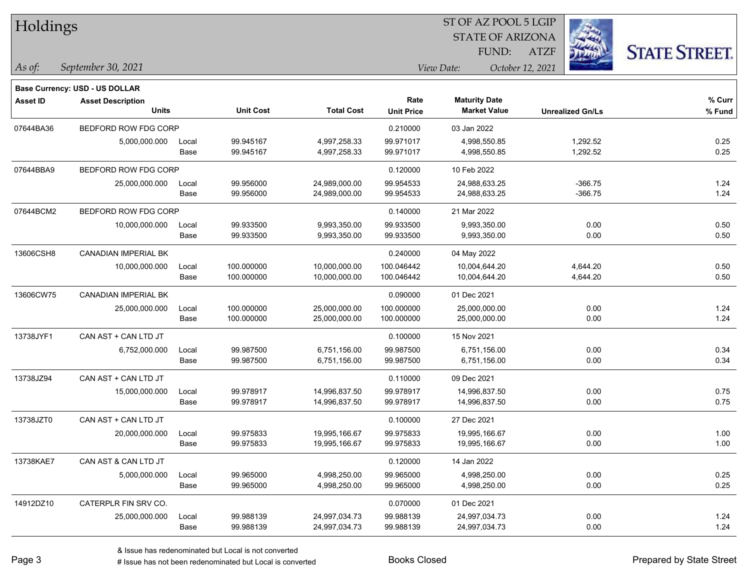| Holdings        |                                          |               |                        |                              | 51 OF AZ POOL 5 LGIP      |                                             |                         |                     |  |  |  |
|-----------------|------------------------------------------|---------------|------------------------|------------------------------|---------------------------|---------------------------------------------|-------------------------|---------------------|--|--|--|
|                 |                                          |               |                        |                              |                           | <b>STATE OF ARIZONA</b>                     |                         |                     |  |  |  |
|                 |                                          |               |                        |                              |                           | FUND:                                       | <b>ATZF</b>             | <b>STATE STREET</b> |  |  |  |
| As of:          | September 30, 2021                       |               |                        |                              |                           | View Date:                                  | October 12, 2021        |                     |  |  |  |
|                 | <b>Base Currency: USD - US DOLLAR</b>    |               |                        |                              |                           |                                             |                         |                     |  |  |  |
| <b>Asset ID</b> | <b>Asset Description</b><br><b>Units</b> |               | <b>Unit Cost</b>       | <b>Total Cost</b>            | Rate<br><b>Unit Price</b> | <b>Maturity Date</b><br><b>Market Value</b> | <b>Unrealized Gn/Ls</b> | % Curr<br>% Fund    |  |  |  |
|                 |                                          |               |                        |                              |                           |                                             |                         |                     |  |  |  |
| 07644BA36       | BEDFORD ROW FDG CORP                     |               |                        |                              | 0.210000                  | 03 Jan 2022                                 |                         |                     |  |  |  |
|                 | 5,000,000.000                            | Local<br>Base | 99.945167<br>99.945167 | 4,997,258.33<br>4,997,258.33 | 99.971017<br>99.971017    | 4,998,550.85<br>4,998,550.85                | 1,292.52<br>1,292.52    | 0.25<br>0.25        |  |  |  |
|                 |                                          |               |                        |                              |                           |                                             |                         |                     |  |  |  |
| 07644BBA9       | BEDFORD ROW FDG CORP                     |               |                        |                              | 0.120000                  | 10 Feb 2022                                 |                         |                     |  |  |  |
|                 | 25,000,000.000                           | Local         | 99.956000              | 24,989,000.00                | 99.954533                 | 24,988,633.25                               | $-366.75$               | 1.24                |  |  |  |
|                 |                                          | Base          | 99.956000              | 24,989,000.00                | 99.954533                 | 24,988,633.25                               | $-366.75$               | 1.24                |  |  |  |
| 07644BCM2       | BEDFORD ROW FDG CORP                     |               |                        |                              | 0.140000                  | 21 Mar 2022                                 |                         |                     |  |  |  |
|                 | 10,000,000.000                           | Local         | 99.933500              | 9,993,350.00                 | 99.933500                 | 9,993,350.00                                | 0.00                    | 0.50                |  |  |  |
|                 |                                          | Base          | 99.933500              | 9,993,350.00                 | 99.933500                 | 9,993,350.00                                | 0.00                    | 0.50                |  |  |  |
| 13606CSH8       | <b>CANADIAN IMPERIAL BK</b>              |               |                        |                              | 0.240000                  | 04 May 2022                                 |                         |                     |  |  |  |
|                 | 10,000,000.000                           | Local         | 100.000000             | 10,000,000.00                | 100.046442                | 10,004,644.20                               | 4,644.20                | 0.50                |  |  |  |
|                 |                                          | Base          | 100.000000             | 10,000,000.00                | 100.046442                | 10,004,644.20                               | 4,644.20                | 0.50                |  |  |  |
| 13606CW75       | CANADIAN IMPERIAL BK                     |               |                        |                              | 0.090000                  | 01 Dec 2021                                 |                         |                     |  |  |  |
|                 | 25,000,000.000                           | Local         | 100.000000             | 25,000,000.00                | 100.000000                | 25,000,000.00                               | 0.00                    | 1.24                |  |  |  |
|                 |                                          | Base          | 100.000000             | 25,000,000.00                | 100.000000                | 25,000,000.00                               | 0.00                    | 1.24                |  |  |  |
| 13738JYF1       | CAN AST + CAN LTD JT                     |               |                        |                              | 0.100000                  | 15 Nov 2021                                 |                         |                     |  |  |  |
|                 | 6,752,000.000                            | Local         | 99.987500              | 6,751,156.00                 | 99.987500                 | 6,751,156.00                                | 0.00                    | 0.34                |  |  |  |
|                 |                                          | Base          | 99.987500              | 6,751,156.00                 | 99.987500                 | 6,751,156.00                                | 0.00                    | 0.34                |  |  |  |
| 13738JZ94       | CAN AST + CAN LTD JT                     |               |                        |                              | 0.110000                  | 09 Dec 2021                                 |                         |                     |  |  |  |
|                 | 15,000,000.000                           | Local         | 99.978917              | 14,996,837.50                | 99.978917                 | 14,996,837.50                               | 0.00                    | 0.75                |  |  |  |
|                 |                                          | Base          | 99.978917              | 14,996,837.50                | 99.978917                 | 14,996,837.50                               | 0.00                    | 0.75                |  |  |  |
| 13738JZT0       | CAN AST + CAN LTD JT                     |               |                        |                              | 0.100000                  | 27 Dec 2021                                 |                         |                     |  |  |  |
|                 | 20,000,000.000                           | Local         | 99.975833              | 19,995,166.67                | 99.975833                 | 19,995,166.67                               | 0.00                    | 1.00                |  |  |  |
|                 |                                          | Base          | 99.975833              | 19,995,166.67                | 99.975833                 | 19,995,166.67                               | 0.00                    | 1.00                |  |  |  |
| 13738KAE7       | CAN AST & CAN LTD JT                     |               |                        |                              | 0.120000                  | 14 Jan 2022                                 |                         |                     |  |  |  |
|                 | 5,000,000.000                            | Local         | 99.965000              | 4,998,250.00                 | 99.965000                 | 4,998,250.00                                | 0.00                    | 0.25                |  |  |  |
|                 |                                          | Base          | 99.965000              | 4,998,250.00                 | 99.965000                 | 4,998,250.00                                | 0.00                    | 0.25                |  |  |  |
| 14912DZ10       | CATERPLR FIN SRV CO.                     |               |                        |                              | 0.070000                  | 01 Dec 2021                                 |                         |                     |  |  |  |
|                 | 25,000,000.000                           | Local         | 99.988139              | 24,997,034.73                | 99.988139                 | 24,997,034.73                               | 0.00                    | 1.24                |  |  |  |
|                 |                                          | Base          | 99.988139              | 24,997,034.73                | 99.988139                 | 24,997,034.73                               | 0.00                    | 1.24                |  |  |  |

 $ST$  OF AZ POOL 5 LGIP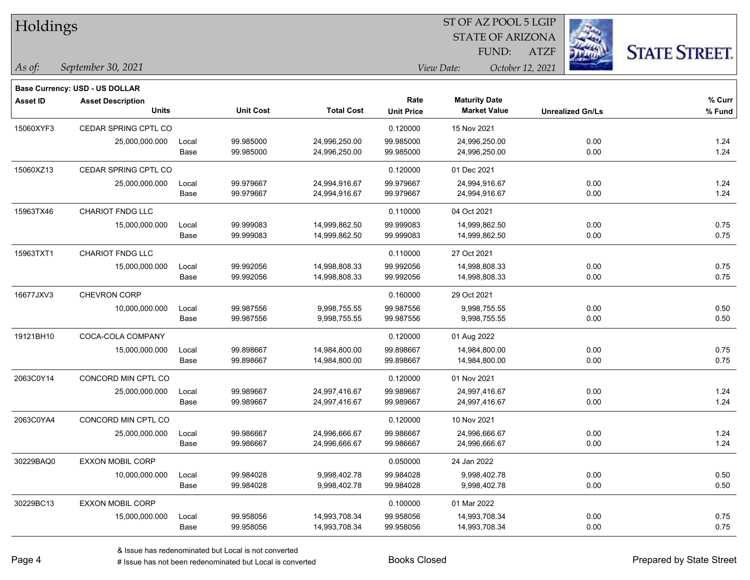| Holdings        |                                          |               |                        |                                |                           | ST OF AZ POOL 5 LGIP                        |                  |                         |                      |
|-----------------|------------------------------------------|---------------|------------------------|--------------------------------|---------------------------|---------------------------------------------|------------------|-------------------------|----------------------|
|                 |                                          |               |                        |                                |                           | <b>STATE OF ARIZONA</b>                     |                  |                         |                      |
|                 |                                          |               |                        |                                |                           | FUND:                                       | <b>ATZF</b>      |                         | <b>STATE STREET.</b> |
| As of:          | September 30, 2021                       |               |                        |                                | View Date:                |                                             | October 12, 2021 |                         |                      |
|                 | <b>Base Currency: USD - US DOLLAR</b>    |               |                        |                                |                           |                                             |                  |                         |                      |
| <b>Asset ID</b> | <b>Asset Description</b><br><b>Units</b> |               | <b>Unit Cost</b>       | <b>Total Cost</b>              | Rate<br><b>Unit Price</b> | <b>Maturity Date</b><br><b>Market Value</b> |                  | <b>Unrealized Gn/Ls</b> | % Curr<br>$%$ Fund   |
| 15060XYF3       | CEDAR SPRING CPTL CO                     |               |                        |                                | 0.120000                  | 15 Nov 2021                                 |                  |                         |                      |
|                 | 25,000,000.000                           | Local<br>Base | 99.985000<br>99.985000 | 24,996,250.00<br>24,996,250.00 | 99.985000<br>99.985000    | 24,996,250.00<br>24,996,250.00              |                  | 0.00<br>0.00            | 1.24<br>1.24         |
| 15060XZ13       | CEDAR SPRING CPTL CO                     |               |                        |                                | 0.120000                  | 01 Dec 2021                                 |                  |                         |                      |
|                 | 25,000,000.000                           | Local<br>Base | 99.979667<br>99.979667 | 24,994,916.67<br>24,994,916.67 | 99.979667<br>99.979667    | 24,994,916.67<br>24,994,916.67              |                  | 0.00<br>0.00            | 1.24<br>1.24         |
| 15963TX46       | <b>CHARIOT FNDG LLC</b>                  |               |                        |                                | 0.110000                  | 04 Oct 2021                                 |                  |                         |                      |
|                 | 15,000,000.000                           | Local<br>Base | 99.999083<br>99.999083 | 14,999,862.50<br>14,999,862.50 | 99.999083<br>99.999083    | 14,999,862.50<br>14,999,862.50              |                  | 0.00<br>0.00            | 0.75<br>0.75         |
| 15963TXT1       | CHARIOT FNDG LLC                         |               |                        |                                | 0.110000                  | 27 Oct 2021                                 |                  |                         |                      |
|                 | 15,000,000.000                           | Local<br>Base | 99.992056<br>99.992056 | 14,998,808.33<br>14,998,808.33 | 99.992056<br>99.992056    | 14,998,808.33<br>14,998,808.33              |                  | 0.00<br>0.00            | 0.75<br>0.75         |
| 16677JXV3       | CHEVRON CORP                             |               |                        |                                | 0.160000                  | 29 Oct 2021                                 |                  |                         |                      |
|                 | 10,000,000.000                           | Local<br>Base | 99.987556<br>99.987556 | 9,998,755.55<br>9,998,755.55   | 99.987556<br>99.987556    | 9,998,755.55<br>9,998,755.55                |                  | 0.00<br>0.00            | 0.50<br>0.50         |
| 19121BH10       | COCA-COLA COMPANY                        |               |                        |                                | 0.120000                  | 01 Aug 2022                                 |                  |                         |                      |
|                 | 15,000,000.000                           | Local<br>Base | 99.898667<br>99.898667 | 14,984,800.00<br>14,984,800.00 | 99.898667<br>99.898667    | 14,984,800.00<br>14,984,800.00              |                  | 0.00<br>0.00            | 0.75<br>0.75         |
| 2063C0Y14       | CONCORD MIN CPTL CO                      |               |                        |                                | 0.120000                  | 01 Nov 2021                                 |                  |                         |                      |
|                 | 25,000,000.000                           | Local<br>Base | 99.989667<br>99.989667 | 24,997,416.67<br>24,997,416.67 | 99.989667<br>99.989667    | 24,997,416.67<br>24,997,416.67              |                  | 0.00<br>0.00            | 1.24<br>1.24         |
| 2063C0YA4       | CONCORD MIN CPTL CO                      |               |                        |                                | 0.120000                  | 10 Nov 2021                                 |                  |                         |                      |
|                 | 25,000,000.000                           | Local<br>Base | 99.986667<br>99.986667 | 24,996,666.67<br>24,996,666.67 | 99.986667<br>99.986667    | 24,996,666.67<br>24,996,666.67              |                  | 0.00<br>0.00            | 1.24<br>1.24         |
| 30229BAQ0       | <b>EXXON MOBIL CORP</b>                  |               |                        |                                | 0.050000                  | 24 Jan 2022                                 |                  |                         |                      |
|                 | 10,000,000.000                           | Local<br>Base | 99.984028<br>99.984028 | 9,998,402.78<br>9,998,402.78   | 99.984028<br>99.984028    | 9,998,402.78<br>9,998,402.78                |                  | 0.00<br>0.00            | 0.50<br>0.50         |
| 30229BC13       | <b>EXXON MOBIL CORP</b>                  |               |                        |                                | 0.100000                  | 01 Mar 2022                                 |                  |                         |                      |
|                 | 15,000,000.000                           | Local         | 99.958056              | 14,993,708.34                  | 99.958056                 | 14,993,708.34                               |                  | 0.00                    | 0.75                 |

 $\overline{\phantom{0}}$ 

 $\overline{\phantom{0}}$ 

Base 99.958056 14,993,708.34 99.958056 14,993,708.34 0.00 0.75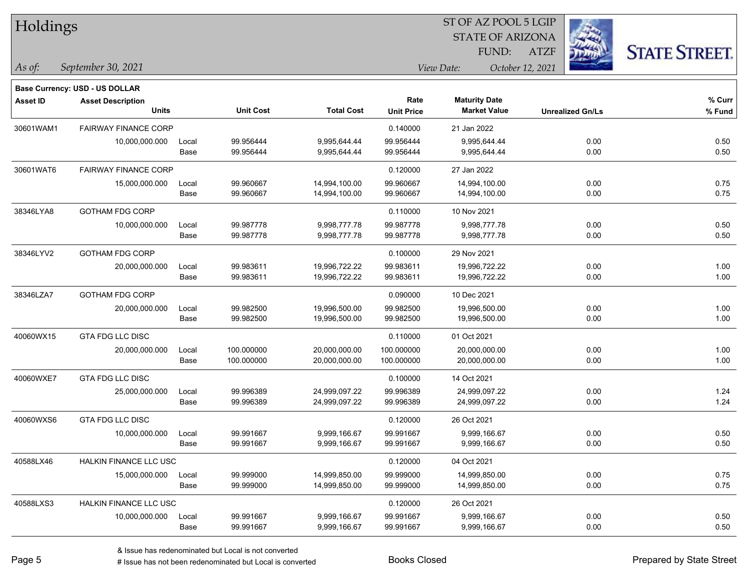| Holdings  |                                          |               |                          |                                |                           | ST OF AZ POOL 5 LGIP<br><b>STATE OF ARIZONA</b> |                         |                      |
|-----------|------------------------------------------|---------------|--------------------------|--------------------------------|---------------------------|-------------------------------------------------|-------------------------|----------------------|
|           |                                          |               |                          |                                |                           | FUND:                                           | <b>ATZF</b>             | <b>STATE STREET.</b> |
| As of:    | September 30, 2021                       |               |                          |                                |                           | View Date:                                      | October 12, 2021        |                      |
|           | Base Currency: USD - US DOLLAR           |               |                          |                                |                           |                                                 |                         |                      |
| Asset ID  | <b>Asset Description</b><br><b>Units</b> |               | <b>Unit Cost</b>         | <b>Total Cost</b>              | Rate<br><b>Unit Price</b> | <b>Maturity Date</b><br><b>Market Value</b>     | <b>Unrealized Gn/Ls</b> | % Curr<br>% Fund     |
| 30601WAM1 | <b>FAIRWAY FINANCE CORP</b>              |               |                          |                                | 0.140000                  | 21 Jan 2022                                     |                         |                      |
|           | 10,000,000.000                           | Local<br>Base | 99.956444<br>99.956444   | 9,995,644.44<br>9,995,644.44   | 99.956444<br>99.956444    | 9,995,644.44<br>9,995,644.44                    | 0.00<br>0.00            | 0.50<br>0.50         |
| 30601WAT6 | <b>FAIRWAY FINANCE CORP</b>              |               |                          |                                | 0.120000                  | 27 Jan 2022                                     |                         |                      |
|           | 15,000,000.000                           | Local<br>Base | 99.960667<br>99.960667   | 14,994,100.00<br>14,994,100.00 | 99.960667<br>99.960667    | 14,994,100.00<br>14,994,100.00                  | 0.00<br>0.00            | 0.75<br>0.75         |
| 38346LYA8 | <b>GOTHAM FDG CORP</b>                   |               |                          |                                | 0.110000                  | 10 Nov 2021                                     |                         |                      |
|           | 10,000,000.000                           | Local<br>Base | 99.987778<br>99.987778   | 9,998,777.78<br>9,998,777.78   | 99.987778<br>99.987778    | 9,998,777.78<br>9,998,777.78                    | 0.00<br>0.00            | 0.50<br>0.50         |
| 38346LYV2 | <b>GOTHAM FDG CORP</b>                   |               |                          |                                | 0.100000                  | 29 Nov 2021                                     |                         |                      |
|           | 20,000,000.000                           | Local<br>Base | 99.983611<br>99.983611   | 19,996,722.22<br>19,996,722.22 | 99.983611<br>99.983611    | 19,996,722.22<br>19,996,722.22                  | 0.00<br>0.00            | 1.00<br>1.00         |
| 38346LZA7 | <b>GOTHAM FDG CORP</b>                   |               |                          |                                | 0.090000                  | 10 Dec 2021                                     |                         |                      |
|           | 20,000,000.000                           | Local<br>Base | 99.982500<br>99.982500   | 19,996,500.00<br>19,996,500.00 | 99.982500<br>99.982500    | 19,996,500.00<br>19,996,500.00                  | 0.00<br>0.00            | 1.00<br>1.00         |
| 40060WX15 | GTA FDG LLC DISC                         |               |                          |                                | 0.110000                  | 01 Oct 2021                                     |                         |                      |
|           | 20,000,000.000                           | Local<br>Base | 100.000000<br>100.000000 | 20,000,000.00<br>20,000,000.00 | 100.000000<br>100.000000  | 20,000,000.00<br>20,000,000.00                  | 0.00<br>0.00            | 1.00<br>1.00         |
| 40060WXE7 | <b>GTA FDG LLC DISC</b>                  |               |                          |                                | 0.100000                  | 14 Oct 2021                                     |                         |                      |
|           | 25,000,000.000                           | Local<br>Base | 99.996389<br>99.996389   | 24,999,097.22<br>24,999,097.22 | 99.996389<br>99.996389    | 24,999,097.22<br>24,999,097.22                  | 0.00<br>0.00            | 1.24<br>1.24         |
| 40060WXS6 | <b>GTA FDG LLC DISC</b>                  |               |                          |                                | 0.120000                  | 26 Oct 2021                                     |                         |                      |
|           | 10,000,000.000                           | Local<br>Base | 99.991667<br>99.991667   | 9,999,166.67<br>9,999,166.67   | 99.991667<br>99.991667    | 9,999,166.67<br>9,999,166.67                    | 0.00<br>0.00            | 0.50<br>0.50         |
| 40588LX46 | <b>HALKIN FINANCE LLC USC</b>            |               |                          |                                | 0.120000                  | 04 Oct 2021                                     |                         |                      |
|           | 15,000,000.000                           | Local         | 99.999000                | 14,999,850.00                  | 99.999000                 | 14,999,850.00                                   | 0.00                    | 0.75                 |

40588LXS3 HALKIN FINANCE LLC USC 0.120000 26 Oct 2021

 $\overline{\phantom{0}}$ 

Base 99.999000 14,999,850.00 99.999000 14,999,850.00 0.00 0.75

Base 99.991667 9,999,166.67 99.991667 9,999,166.67 0.00 0.50

10,000,000.000 Local 99.991667 9,999,166.67 99.991667 9,999,166.67 0.00 0.50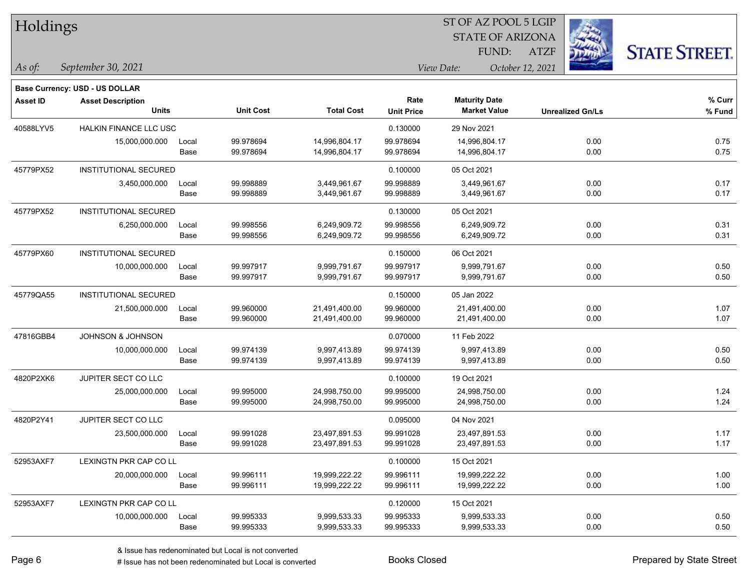| Holdings        |                                          |       |                  |                   |                   | ST OF AZ POOL 5 LGIP    |                         |                      |
|-----------------|------------------------------------------|-------|------------------|-------------------|-------------------|-------------------------|-------------------------|----------------------|
|                 |                                          |       |                  |                   |                   | <b>STATE OF ARIZONA</b> |                         |                      |
|                 |                                          |       |                  |                   |                   | FUND:                   | <b>ATZF</b>             | <b>STATE STREET.</b> |
| $\vert$ As of:  | September 30, 2021                       |       |                  |                   |                   | View Date:              | October 12, 2021        |                      |
|                 |                                          |       |                  |                   |                   |                         |                         |                      |
|                 | Base Currency: USD - US DOLLAR           |       |                  |                   | Rate              | <b>Maturity Date</b>    |                         | % Curr               |
| <b>Asset ID</b> | <b>Asset Description</b><br><b>Units</b> |       | <b>Unit Cost</b> | <b>Total Cost</b> | <b>Unit Price</b> | <b>Market Value</b>     | <b>Unrealized Gn/Ls</b> | % Fund               |
| 40588LYV5       | <b>HALKIN FINANCE LLC USC</b>            |       |                  |                   | 0.130000          | 29 Nov 2021             |                         |                      |
|                 | 15,000,000.000                           | Local | 99.978694        | 14,996,804.17     | 99.978694         | 14,996,804.17           | 0.00                    | 0.75                 |
|                 |                                          | Base  | 99.978694        | 14,996,804.17     | 99.978694         | 14,996,804.17           | 0.00                    | 0.75                 |
| 45779PX52       | <b>INSTITUTIONAL SECURED</b>             |       |                  |                   | 0.100000          | 05 Oct 2021             |                         |                      |
|                 | 3,450,000.000                            | Local | 99.998889        | 3,449,961.67      | 99.998889         | 3,449,961.67            | 0.00                    | 0.17                 |
|                 |                                          | Base  | 99.998889        | 3,449,961.67      | 99.998889         | 3,449,961.67            | 0.00                    | 0.17                 |
| 45779PX52       | <b>INSTITUTIONAL SECURED</b>             |       |                  |                   | 0.130000          | 05 Oct 2021             |                         |                      |
|                 | 6,250,000.000                            | Local | 99.998556        | 6,249,909.72      | 99.998556         | 6,249,909.72            | 0.00                    | 0.31                 |
|                 |                                          | Base  | 99.998556        | 6,249,909.72      | 99.998556         | 6,249,909.72            | 0.00                    | 0.31                 |
| 45779PX60       | INSTITUTIONAL SECURED                    |       |                  |                   | 0.150000          | 06 Oct 2021             |                         |                      |
|                 | 10,000,000.000                           | Local | 99.997917        | 9,999,791.67      | 99.997917         | 9,999,791.67            | 0.00                    | 0.50                 |
|                 |                                          | Base  | 99.997917        | 9,999,791.67      | 99.997917         | 9,999,791.67            | 0.00                    | 0.50                 |
| 45779QA55       | INSTITUTIONAL SECURED                    |       |                  |                   | 0.150000          | 05 Jan 2022             |                         |                      |
|                 | 21,500,000.000                           | Local | 99.960000        | 21,491,400.00     | 99.960000         | 21,491,400.00           | 0.00                    | 1.07                 |
|                 |                                          | Base  | 99.960000        | 21,491,400.00     | 99.960000         | 21,491,400.00           | 0.00                    | 1.07                 |
| 47816GBB4       | JOHNSON & JOHNSON                        |       |                  |                   | 0.070000          | 11 Feb 2022             |                         |                      |
|                 | 10,000,000.000                           | Local | 99.974139        | 9,997,413.89      | 99.974139         | 9,997,413.89            | 0.00                    | 0.50                 |
|                 |                                          | Base  | 99.974139        | 9,997,413.89      | 99.974139         | 9,997,413.89            | 0.00                    | 0.50                 |
| 4820P2XK6       | JUPITER SECT CO LLC                      |       |                  |                   | 0.100000          | 19 Oct 2021             |                         |                      |
|                 | 25,000,000.000                           | Local | 99.995000        | 24,998,750.00     | 99.995000         | 24,998,750.00           | 0.00                    | 1.24                 |
|                 |                                          | Base  | 99.995000        | 24,998,750.00     | 99.995000         | 24,998,750.00           | 0.00                    | 1.24                 |
| 4820P2Y41       | JUPITER SECT CO LLC                      |       |                  |                   | 0.095000          | 04 Nov 2021             |                         |                      |
|                 | 23,500,000.000                           | Local | 99.991028        | 23,497,891.53     | 99.991028         | 23,497,891.53           | 0.00                    | 1.17                 |
|                 |                                          | Base  | 99.991028        | 23,497,891.53     | 99.991028         | 23,497,891.53           | 0.00                    | 1.17                 |
| 52953AXF7       | LEXINGTN PKR CAP CO LL                   |       |                  |                   | 0.100000          | 15 Oct 2021             |                         |                      |
|                 | 20,000,000.000                           | Local | 99.996111        | 19,999,222.22     | 99.996111         | 19,999,222.22           | 0.00                    | 1.00                 |
|                 |                                          | Base  | 99.996111        | 19,999,222.22     | 99.996111         | 19,999,222.22           | 0.00                    | 1.00                 |
| 52953AXF7       | LEXINGTN PKR CAP CO LL                   |       |                  |                   | 0.120000          | 15 Oct 2021             |                         |                      |
|                 | 10,000,000.000                           | Local | 99.995333        | 9,999,533.33      | 99.995333         | 9,999,533.33            | 0.00                    | 0.50                 |
|                 |                                          | Base  | 99.995333        | 9,999,533.33      | 99.995333         | 9,999,533.33            | 0.00                    | 0.50                 |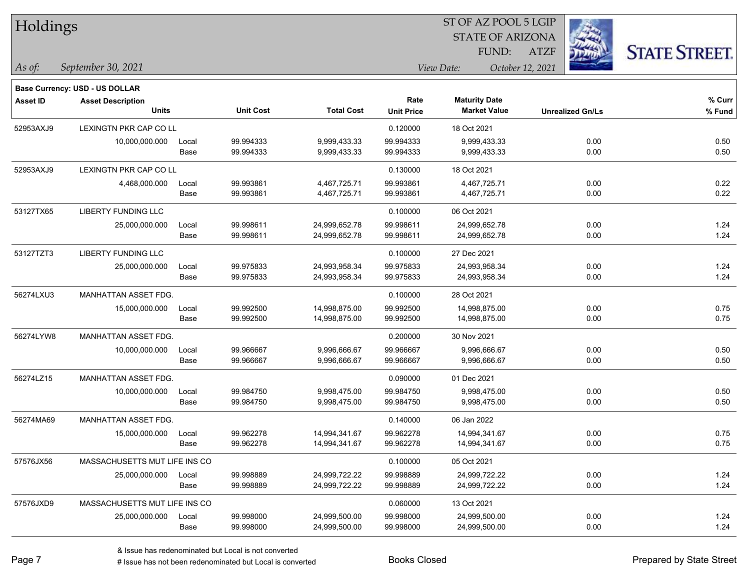| Holdings        |                                          |       |                  |                   | ST OF AZ POOL 5 LGIP |                         |                  |                         |                      |  |
|-----------------|------------------------------------------|-------|------------------|-------------------|----------------------|-------------------------|------------------|-------------------------|----------------------|--|
|                 |                                          |       |                  |                   |                      | <b>STATE OF ARIZONA</b> |                  |                         |                      |  |
|                 |                                          |       |                  |                   |                      | FUND:                   | <b>ATZF</b>      |                         | <b>STATE STREET.</b> |  |
| As of:          | September 30, 2021                       |       |                  |                   |                      | View Date:              | October 12, 2021 |                         |                      |  |
|                 |                                          |       |                  |                   |                      |                         |                  |                         |                      |  |
|                 | <b>Base Currency: USD - US DOLLAR</b>    |       |                  |                   | Rate                 | <b>Maturity Date</b>    |                  |                         | % Curr               |  |
| <b>Asset ID</b> | <b>Asset Description</b><br><b>Units</b> |       | <b>Unit Cost</b> | <b>Total Cost</b> | <b>Unit Price</b>    | <b>Market Value</b>     |                  | <b>Unrealized Gn/Ls</b> | % Fund               |  |
| 52953AXJ9       | LEXINGTN PKR CAP CO LL                   |       |                  |                   | 0.120000             | 18 Oct 2021             |                  |                         |                      |  |
|                 | 10,000,000.000                           | Local | 99.994333        | 9,999,433.33      | 99.994333            | 9,999,433.33            |                  | 0.00                    | 0.50                 |  |
|                 |                                          | Base  | 99.994333        | 9,999,433.33      | 99.994333            | 9,999,433.33            |                  | 0.00                    | 0.50                 |  |
| 52953AXJ9       | LEXINGTN PKR CAP CO LL                   |       |                  |                   | 0.130000             | 18 Oct 2021             |                  |                         |                      |  |
|                 | 4,468,000.000                            | Local | 99.993861        | 4,467,725.71      | 99.993861            | 4,467,725.71            |                  | 0.00                    | 0.22                 |  |
|                 |                                          | Base  | 99.993861        | 4,467,725.71      | 99.993861            | 4,467,725.71            |                  | 0.00                    | 0.22                 |  |
| 53127TX65       | <b>LIBERTY FUNDING LLC</b>               |       |                  |                   | 0.100000             | 06 Oct 2021             |                  |                         |                      |  |
|                 | 25,000,000.000                           | Local | 99.998611        | 24,999,652.78     | 99.998611            | 24,999,652.78           |                  | 0.00                    | 1.24                 |  |
|                 |                                          | Base  | 99.998611        | 24,999,652.78     | 99.998611            | 24,999,652.78           |                  | 0.00                    | 1.24                 |  |
| 53127TZT3       | <b>LIBERTY FUNDING LLC</b>               |       |                  |                   | 0.100000             | 27 Dec 2021             |                  |                         |                      |  |
|                 | 25,000,000.000                           | Local | 99.975833        | 24,993,958.34     | 99.975833            | 24,993,958.34           |                  | 0.00                    | 1.24                 |  |
|                 |                                          | Base  | 99.975833        | 24,993,958.34     | 99.975833            | 24,993,958.34           |                  | 0.00                    | 1.24                 |  |
| 56274LXU3       | MANHATTAN ASSET FDG.                     |       |                  |                   | 0.100000             | 28 Oct 2021             |                  |                         |                      |  |
|                 | 15,000,000.000                           | Local | 99.992500        | 14,998,875.00     | 99.992500            | 14,998,875.00           |                  | 0.00                    | 0.75                 |  |
|                 |                                          | Base  | 99.992500        | 14,998,875.00     | 99.992500            | 14,998,875.00           |                  | 0.00                    | 0.75                 |  |
| 56274LYW8       | MANHATTAN ASSET FDG.                     |       |                  |                   | 0.200000             | 30 Nov 2021             |                  |                         |                      |  |
|                 | 10,000,000.000                           | Local | 99.966667        | 9,996,666.67      | 99.966667            | 9,996,666.67            |                  | 0.00                    | 0.50                 |  |
|                 |                                          | Base  | 99.966667        | 9,996,666.67      | 99.966667            | 9,996,666.67            |                  | 0.00                    | 0.50                 |  |
| 56274LZ15       | MANHATTAN ASSET FDG.                     |       |                  |                   | 0.090000             | 01 Dec 2021             |                  |                         |                      |  |
|                 | 10,000,000.000                           | Local | 99.984750        | 9,998,475.00      | 99.984750            | 9,998,475.00            |                  | 0.00                    | 0.50                 |  |
|                 |                                          | Base  | 99.984750        | 9,998,475.00      | 99.984750            | 9,998,475.00            |                  | 0.00                    | 0.50                 |  |
| 56274MA69       | MANHATTAN ASSET FDG.                     |       |                  |                   | 0.140000             | 06 Jan 2022             |                  |                         |                      |  |
|                 | 15,000,000.000                           | Local | 99.962278        | 14,994,341.67     | 99.962278            | 14,994,341.67           |                  | 0.00                    | 0.75                 |  |
|                 |                                          | Base  | 99.962278        | 14,994,341.67     | 99.962278            | 14,994,341.67           |                  | 0.00                    | 0.75                 |  |
| 57576JX56       | MASSACHUSETTS MUT LIFE INS CO            |       |                  |                   | 0.100000             | 05 Oct 2021             |                  |                         |                      |  |
|                 | 25,000,000.000                           | Local | 99.998889        | 24,999,722.22     | 99.998889            | 24,999,722.22           |                  | 0.00                    | 1.24                 |  |
|                 |                                          | Base  | 99.998889        | 24,999,722.22     | 99.998889            | 24,999,722.22           |                  | 0.00                    | 1.24                 |  |
| 57576JXD9       | MASSACHUSETTS MUT LIFE INS CO            |       |                  |                   | 0.060000             | 13 Oct 2021             |                  |                         |                      |  |
|                 | 25,000,000.000                           | Local | 99.998000        | 24,999,500.00     | 99.998000            | 24,999,500.00           |                  | 0.00                    | 1.24                 |  |
|                 |                                          | Base  | 99.998000        | 24,999,500.00     | 99.998000            | 24,999,500.00           |                  | 0.00                    | 1.24                 |  |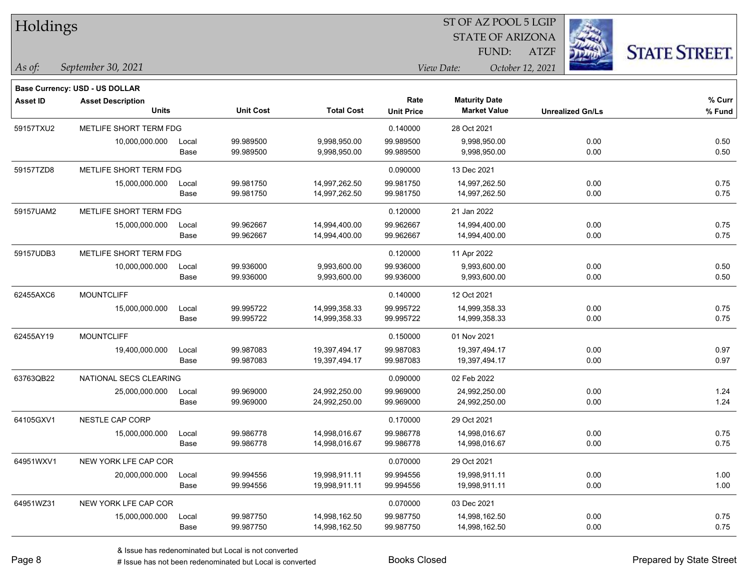| Holdings        |                                          |               |                        |                              |                           | ST OF AZ POOL 5 LGIP                        |                  |                         |                      |
|-----------------|------------------------------------------|---------------|------------------------|------------------------------|---------------------------|---------------------------------------------|------------------|-------------------------|----------------------|
|                 |                                          |               |                        |                              |                           | <b>STATE OF ARIZONA</b>                     |                  |                         |                      |
|                 |                                          |               |                        |                              |                           | FUND:                                       | <b>ATZF</b>      |                         | <b>STATE STREET.</b> |
| As of:          | September 30, 2021                       |               |                        |                              |                           | View Date:                                  | October 12, 2021 |                         |                      |
|                 |                                          |               |                        |                              |                           |                                             |                  |                         |                      |
|                 | Base Currency: USD - US DOLLAR           |               |                        |                              |                           |                                             |                  |                         |                      |
| <b>Asset ID</b> | <b>Asset Description</b><br><b>Units</b> |               | <b>Unit Cost</b>       | <b>Total Cost</b>            | Rate<br><b>Unit Price</b> | <b>Maturity Date</b><br><b>Market Value</b> |                  | <b>Unrealized Gn/Ls</b> | % Curr<br>% Fund     |
|                 |                                          |               |                        |                              |                           |                                             |                  |                         |                      |
| 59157TXU2       | METLIFE SHORT TERM FDG                   |               |                        |                              | 0.140000                  | 28 Oct 2021                                 |                  |                         |                      |
|                 | 10,000,000.000                           | Local<br>Base | 99.989500<br>99.989500 | 9,998,950.00<br>9,998,950.00 | 99.989500<br>99.989500    | 9,998,950.00<br>9,998,950.00                |                  | 0.00<br>0.00            | 0.50<br>0.50         |
|                 |                                          |               |                        |                              |                           |                                             |                  |                         |                      |
| 59157TZD8       | METLIFE SHORT TERM FDG                   |               |                        |                              | 0.090000                  | 13 Dec 2021                                 |                  |                         |                      |
|                 | 15,000,000.000                           | Local         | 99.981750              | 14,997,262.50                | 99.981750                 | 14,997,262.50                               |                  | 0.00                    | 0.75                 |
|                 |                                          | Base          | 99.981750              | 14,997,262.50                | 99.981750                 | 14,997,262.50                               |                  | 0.00                    | 0.75                 |
| 59157UAM2       | METLIFE SHORT TERM FDG                   |               |                        |                              | 0.120000                  | 21 Jan 2022                                 |                  |                         |                      |
|                 | 15,000,000.000                           | Local         | 99.962667              | 14,994,400.00                | 99.962667                 | 14,994,400.00                               |                  | 0.00                    | 0.75                 |
|                 |                                          | Base          | 99.962667              | 14,994,400.00                | 99.962667                 | 14,994,400.00                               |                  | 0.00                    | 0.75                 |
| 59157UDB3       | METLIFE SHORT TERM FDG                   |               |                        |                              | 0.120000                  | 11 Apr 2022                                 |                  |                         |                      |
|                 | 10,000,000.000                           | Local         | 99.936000              | 9,993,600.00                 | 99.936000                 | 9,993,600.00                                |                  | 0.00                    | 0.50                 |
|                 |                                          | Base          | 99.936000              | 9,993,600.00                 | 99.936000                 | 9,993,600.00                                |                  | 0.00                    | 0.50                 |
| 62455AXC6       | <b>MOUNTCLIFF</b>                        |               |                        |                              | 0.140000                  | 12 Oct 2021                                 |                  |                         |                      |
|                 | 15,000,000.000                           | Local         | 99.995722              | 14,999,358.33                | 99.995722                 | 14,999,358.33                               |                  | 0.00                    | 0.75                 |
|                 |                                          | Base          | 99.995722              | 14,999,358.33                | 99.995722                 | 14,999,358.33                               |                  | 0.00                    | 0.75                 |
| 62455AY19       | <b>MOUNTCLIFF</b>                        |               |                        |                              | 0.150000                  | 01 Nov 2021                                 |                  |                         |                      |
|                 | 19,400,000.000                           | Local         | 99.987083              | 19,397,494.17                | 99.987083                 | 19,397,494.17                               |                  | 0.00                    | 0.97                 |
|                 |                                          | Base          | 99.987083              | 19,397,494.17                | 99.987083                 | 19,397,494.17                               |                  | 0.00                    | 0.97                 |
| 63763QB22       | NATIONAL SECS CLEARING                   |               |                        |                              | 0.090000                  | 02 Feb 2022                                 |                  |                         |                      |
|                 | 25,000,000.000                           | Local         | 99.969000              | 24,992,250.00                | 99.969000                 | 24,992,250.00                               |                  | 0.00                    | 1.24                 |
|                 |                                          | Base          | 99.969000              | 24,992,250.00                | 99.969000                 | 24,992,250.00                               |                  | 0.00                    | 1.24                 |
| 64105GXV1       | NESTLE CAP CORP                          |               |                        |                              | 0.170000                  | 29 Oct 2021                                 |                  |                         |                      |
|                 | 15,000,000.000                           | Local         | 99.986778              | 14,998,016.67                | 99.986778                 | 14,998,016.67                               |                  | 0.00                    | 0.75                 |
|                 |                                          | Base          | 99.986778              | 14,998,016.67                | 99.986778                 | 14,998,016.67                               |                  | 0.00                    | 0.75                 |
| 64951WXV1       | NEW YORK LFE CAP COR                     |               |                        |                              | 0.070000                  | 29 Oct 2021                                 |                  |                         |                      |
|                 | 20,000,000.000                           | Local         | 99.994556              | 19,998,911.11                | 99.994556                 | 19,998,911.11                               |                  | 0.00                    | 1.00                 |
|                 |                                          | Base          | 99.994556              | 19,998,911.11                | 99.994556                 | 19,998,911.11                               |                  | 0.00                    | 1.00                 |
| 64951WZ31       | NEW YORK LFE CAP COR                     |               |                        |                              | 0.070000                  | 03 Dec 2021                                 |                  |                         |                      |
|                 | 15,000,000.000                           | Local         | 99.987750              | 14,998,162.50                | 99.987750                 | 14,998,162.50                               |                  | 0.00                    | 0.75                 |
|                 |                                          | Base          | 99.987750              | 14,998,162.50                | 99.987750                 | 14,998,162.50                               |                  | 0.00                    | 0.75                 |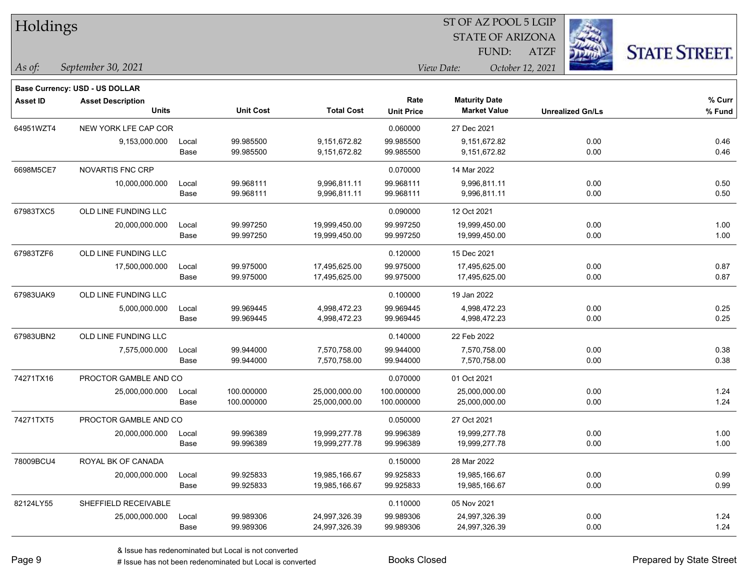| Holdings        |                                       |       |                  | ST OF AZ POOL 5 LGIP |                   |                         |                         |                      |  |  |
|-----------------|---------------------------------------|-------|------------------|----------------------|-------------------|-------------------------|-------------------------|----------------------|--|--|
|                 |                                       |       |                  |                      |                   | <b>STATE OF ARIZONA</b> |                         |                      |  |  |
|                 |                                       |       |                  |                      |                   | FUND:                   | <b>ATZF</b>             | <b>STATE STREET.</b> |  |  |
| As of:          | September 30, 2021                    |       |                  |                      |                   | View Date:              | October 12, 2021        |                      |  |  |
|                 | <b>Base Currency: USD - US DOLLAR</b> |       |                  |                      |                   |                         |                         |                      |  |  |
| <b>Asset ID</b> | <b>Asset Description</b>              |       |                  |                      | Rate              | <b>Maturity Date</b>    |                         | % Curr               |  |  |
|                 | <b>Units</b>                          |       | <b>Unit Cost</b> | <b>Total Cost</b>    | <b>Unit Price</b> | <b>Market Value</b>     | <b>Unrealized Gn/Ls</b> | % Fund               |  |  |
| 64951WZT4       | NEW YORK LFE CAP COR                  |       |                  |                      | 0.060000          | 27 Dec 2021             |                         |                      |  |  |
|                 | 9,153,000.000                         | Local | 99.985500        | 9,151,672.82         | 99.985500         | 9,151,672.82            | 0.00                    | 0.46                 |  |  |
|                 |                                       | Base  | 99.985500        | 9,151,672.82         | 99.985500         | 9,151,672.82            | 0.00                    | 0.46                 |  |  |
| 6698M5CE7       | NOVARTIS FNC CRP                      |       |                  |                      | 0.070000          | 14 Mar 2022             |                         |                      |  |  |
|                 | 10,000,000.000                        | Local | 99.968111        | 9,996,811.11         | 99.968111         | 9,996,811.11            | 0.00                    | 0.50                 |  |  |
|                 |                                       | Base  | 99.968111        | 9,996,811.11         | 99.968111         | 9,996,811.11            | 0.00                    | 0.50                 |  |  |
| 67983TXC5       | OLD LINE FUNDING LLC                  |       |                  |                      | 0.090000          | 12 Oct 2021             |                         |                      |  |  |
|                 | 20,000,000.000                        | Local | 99.997250        | 19,999,450.00        | 99.997250         | 19,999,450.00           | 0.00                    | 1.00                 |  |  |
|                 |                                       | Base  | 99.997250        | 19,999,450.00        | 99.997250         | 19,999,450.00           | 0.00                    | 1.00                 |  |  |
| 67983TZF6       | OLD LINE FUNDING LLC                  |       |                  |                      | 0.120000          | 15 Dec 2021             |                         |                      |  |  |
|                 | 17,500,000.000                        | Local | 99.975000        | 17,495,625.00        | 99.975000         | 17,495,625.00           | 0.00                    | 0.87                 |  |  |
|                 |                                       | Base  | 99.975000        | 17,495,625.00        | 99.975000         | 17,495,625.00           | 0.00                    | 0.87                 |  |  |
| 67983UAK9       | OLD LINE FUNDING LLC                  |       |                  |                      | 0.100000          | 19 Jan 2022             |                         |                      |  |  |
|                 | 5,000,000.000                         | Local | 99.969445        | 4,998,472.23         | 99.969445         | 4,998,472.23            | 0.00                    | 0.25                 |  |  |
|                 |                                       | Base  | 99.969445        | 4,998,472.23         | 99.969445         | 4,998,472.23            | 0.00                    | 0.25                 |  |  |
| 67983UBN2       | OLD LINE FUNDING LLC                  |       |                  |                      | 0.140000          | 22 Feb 2022             |                         |                      |  |  |
|                 | 7,575,000.000                         | Local | 99.944000        | 7,570,758.00         | 99.944000         | 7,570,758.00            | 0.00                    | 0.38                 |  |  |
|                 |                                       | Base  | 99.944000        | 7,570,758.00         | 99.944000         | 7,570,758.00            | 0.00                    | 0.38                 |  |  |
| 74271TX16       | PROCTOR GAMBLE AND CO                 |       |                  |                      | 0.070000          | 01 Oct 2021             |                         |                      |  |  |
|                 | 25,000,000.000                        | Local | 100.000000       | 25,000,000.00        | 100.000000        | 25,000,000.00           | 0.00                    | 1.24                 |  |  |
|                 |                                       | Base  | 100.000000       | 25,000,000.00        | 100.000000        | 25,000,000.00           | 0.00                    | 1.24                 |  |  |
| 74271TXT5       | PROCTOR GAMBLE AND CO                 |       |                  |                      | 0.050000          | 27 Oct 2021             |                         |                      |  |  |
|                 | 20,000,000.000                        | Local | 99.996389        | 19,999,277.78        | 99.996389         | 19,999,277.78           | 0.00                    | 1.00                 |  |  |
|                 |                                       | Base  | 99.996389        | 19,999,277.78        | 99.996389         | 19,999,277.78           | 0.00                    | 1.00                 |  |  |
| 78009BCU4       | ROYAL BK OF CANADA                    |       |                  |                      | 0.150000          | 28 Mar 2022             |                         |                      |  |  |
|                 | 20,000,000.000                        | Local | 99.925833        | 19,985,166.67        | 99.925833         | 19,985,166.67           | 0.00                    | 0.99                 |  |  |
|                 |                                       | Base  | 99.925833        | 19,985,166.67        | 99.925833         | 19,985,166.67           | 0.00                    | 0.99                 |  |  |
| 82124LY55       | SHEFFIELD RECEIVABLE                  |       |                  |                      | 0.110000          | 05 Nov 2021             |                         |                      |  |  |
|                 | 25,000,000.000                        | Local | 99.989306        | 24,997,326.39        | 99.989306         | 24,997,326.39           | 0.00                    | 1.24                 |  |  |
|                 |                                       | Base  | 99.989306        | 24,997,326.39        | 99.989306         | 24,997,326.39           | 0.00                    | 1.24                 |  |  |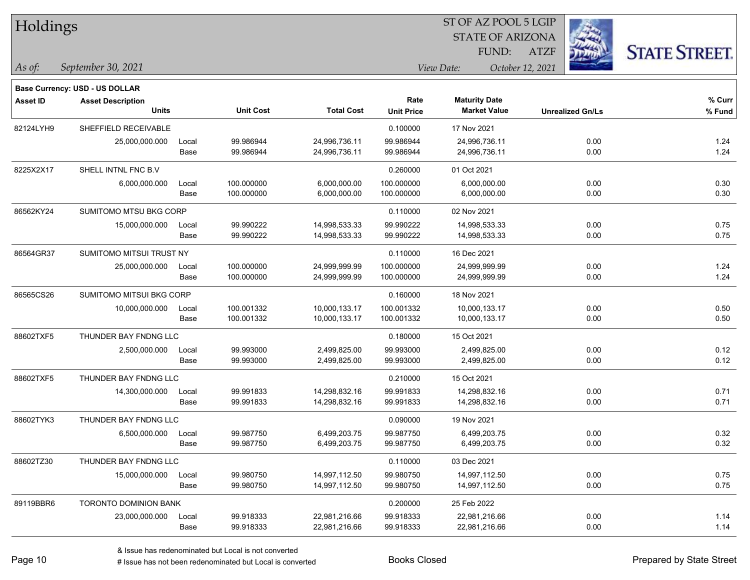| Holdings        |                                |       |                  |                   |                   |                      | ST OF AZ POOL 5 LGIP    |                         |                      |
|-----------------|--------------------------------|-------|------------------|-------------------|-------------------|----------------------|-------------------------|-------------------------|----------------------|
|                 |                                |       |                  |                   |                   |                      | <b>STATE OF ARIZONA</b> |                         |                      |
|                 |                                |       |                  |                   |                   | FUND:                | <b>ATZF</b>             |                         | <b>STATE STREET.</b> |
| As of:          | September 30, 2021             |       |                  |                   |                   | View Date:           | October 12, 2021        |                         |                      |
|                 | Base Currency: USD - US DOLLAR |       |                  |                   |                   |                      |                         |                         |                      |
| <b>Asset ID</b> | <b>Asset Description</b>       |       |                  |                   | Rate              | <b>Maturity Date</b> |                         |                         | % Curr               |
|                 | <b>Units</b>                   |       | <b>Unit Cost</b> | <b>Total Cost</b> | <b>Unit Price</b> | <b>Market Value</b>  |                         | <b>Unrealized Gn/Ls</b> | % Fund               |
| 82124LYH9       | SHEFFIELD RECEIVABLE           |       |                  |                   | 0.100000          | 17 Nov 2021          |                         |                         |                      |
|                 | 25,000,000.000                 | Local | 99.986944        | 24,996,736.11     | 99.986944         | 24,996,736.11        |                         | 0.00                    | 1.24                 |
|                 |                                | Base  | 99.986944        | 24,996,736.11     | 99.986944         | 24,996,736.11        |                         | 0.00                    | 1.24                 |
| 8225X2X17       | SHELL INTNL FNC B.V            |       |                  |                   | 0.260000          | 01 Oct 2021          |                         |                         |                      |
|                 | 6,000,000.000                  | Local | 100.000000       | 6,000,000.00      | 100.000000        | 6,000,000.00         |                         | 0.00                    | 0.30                 |
|                 |                                | Base  | 100.000000       | 6,000,000.00      | 100.000000        | 6,000,000.00         |                         | 0.00                    | 0.30                 |
| 86562KY24       | SUMITOMO MTSU BKG CORP         |       |                  |                   | 0.110000          | 02 Nov 2021          |                         |                         |                      |
|                 | 15,000,000.000                 | Local | 99.990222        | 14,998,533.33     | 99.990222         | 14,998,533.33        |                         | 0.00                    | 0.75                 |
|                 |                                | Base  | 99.990222        | 14,998,533.33     | 99.990222         | 14,998,533.33        |                         | 0.00                    | 0.75                 |
| 86564GR37       | SUMITOMO MITSUI TRUST NY       |       |                  |                   | 0.110000          | 16 Dec 2021          |                         |                         |                      |
|                 | 25,000,000.000                 | Local | 100.000000       | 24,999,999.99     | 100.000000        | 24,999,999.99        |                         | 0.00                    | 1.24                 |
|                 |                                | Base  | 100.000000       | 24,999,999.99     | 100.000000        | 24,999,999.99        |                         | 0.00                    | 1.24                 |
| 86565CS26       | SUMITOMO MITSUI BKG CORP       |       |                  |                   | 0.160000          | 18 Nov 2021          |                         |                         |                      |
|                 | 10,000,000.000                 | Local | 100.001332       | 10,000,133.17     | 100.001332        | 10,000,133.17        |                         | 0.00                    | 0.50                 |
|                 |                                | Base  | 100.001332       | 10,000,133.17     | 100.001332        | 10,000,133.17        |                         | 0.00                    | 0.50                 |
| 88602TXF5       | THUNDER BAY FNDNG LLC          |       |                  |                   | 0.180000          | 15 Oct 2021          |                         |                         |                      |
|                 | 2,500,000.000                  | Local | 99.993000        | 2,499,825.00      | 99.993000         | 2,499,825.00         |                         | 0.00                    | 0.12                 |
|                 |                                | Base  | 99.993000        | 2,499,825.00      | 99.993000         | 2,499,825.00         |                         | 0.00                    | 0.12                 |
| 88602TXF5       | THUNDER BAY FNDNG LLC          |       |                  |                   | 0.210000          | 15 Oct 2021          |                         |                         |                      |
|                 | 14,300,000.000                 | Local | 99.991833        | 14,298,832.16     | 99.991833         | 14,298,832.16        |                         | 0.00                    | 0.71                 |
|                 |                                | Base  | 99.991833        | 14,298,832.16     | 99.991833         | 14,298,832.16        |                         | 0.00                    | 0.71                 |
| 88602TYK3       | THUNDER BAY FNDNG LLC          |       |                  |                   | 0.090000          | 19 Nov 2021          |                         |                         |                      |
|                 | 6,500,000.000                  | Local | 99.987750        | 6,499,203.75      | 99.987750         | 6,499,203.75         |                         | 0.00                    | 0.32                 |
|                 |                                | Base  | 99.987750        | 6,499,203.75      | 99.987750         | 6,499,203.75         |                         | 0.00                    | 0.32                 |
| 88602TZ30       | THUNDER BAY FNDNG LLC          |       |                  |                   | 0.110000          | 03 Dec 2021          |                         |                         |                      |
|                 | 15,000,000.000                 | Local | 99.980750        | 14,997,112.50     | 99.980750         | 14,997,112.50        |                         | 0.00                    | 0.75                 |
|                 |                                | Base  | 99.980750        | 14,997,112.50     | 99.980750         | 14,997,112.50        |                         | 0.00                    | 0.75                 |
| 89119BBR6       | TORONTO DOMINION BANK          |       |                  |                   | 0.200000          | 25 Feb 2022          |                         |                         |                      |
|                 | 23,000,000.000 Local           |       | 99.918333        | 22,981,216.66     | 99.918333         | 22,981,216.66        |                         | 0.00                    | 1.14                 |

# Issue has not been redenominated but Local is converted Books Closed Prepared by State Street

Base 99.918333 22,981,216.66 99.918333 22,981,216.66 0.00 1.14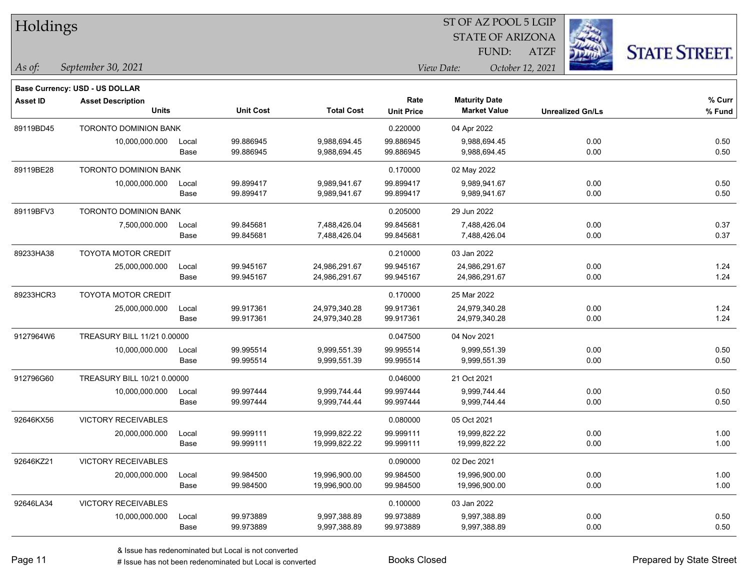| Holdings        |                                          |       |                  | ST OF AZ POOL 5 LGIP |                   |                                             |                  |                         |                      |
|-----------------|------------------------------------------|-------|------------------|----------------------|-------------------|---------------------------------------------|------------------|-------------------------|----------------------|
|                 |                                          |       |                  |                      |                   | <b>STATE OF ARIZONA</b>                     |                  |                         |                      |
|                 |                                          |       |                  |                      |                   | FUND:                                       | <b>ATZF</b>      |                         | <b>STATE STREET.</b> |
| $\vert$ As of:  | September 30, 2021                       |       |                  |                      |                   | View Date:                                  | October 12, 2021 |                         |                      |
|                 |                                          |       |                  |                      |                   |                                             |                  |                         |                      |
|                 | Base Currency: USD - US DOLLAR           |       |                  |                      | Rate              |                                             |                  |                         | % Curr               |
| <b>Asset ID</b> | <b>Asset Description</b><br><b>Units</b> |       | <b>Unit Cost</b> | <b>Total Cost</b>    | <b>Unit Price</b> | <b>Maturity Date</b><br><b>Market Value</b> |                  | <b>Unrealized Gn/Ls</b> | % Fund               |
| 89119BD45       | TORONTO DOMINION BANK                    |       |                  |                      | 0.220000          | 04 Apr 2022                                 |                  |                         |                      |
|                 | 10,000,000.000                           | Local | 99.886945        | 9,988,694.45         | 99.886945         | 9,988,694.45                                |                  | 0.00                    | 0.50                 |
|                 |                                          | Base  | 99.886945        | 9,988,694.45         | 99.886945         | 9,988,694.45                                |                  | 0.00                    | 0.50                 |
| 89119BE28       | <b>TORONTO DOMINION BANK</b>             |       |                  |                      | 0.170000          | 02 May 2022                                 |                  |                         |                      |
|                 | 10,000,000.000                           | Local | 99.899417        | 9,989,941.67         | 99.899417         | 9,989,941.67                                |                  | 0.00                    | 0.50                 |
|                 |                                          | Base  | 99.899417        | 9,989,941.67         | 99.899417         | 9,989,941.67                                |                  | 0.00                    | 0.50                 |
| 89119BFV3       | <b>TORONTO DOMINION BANK</b>             |       |                  |                      | 0.205000          | 29 Jun 2022                                 |                  |                         |                      |
|                 | 7,500,000.000                            | Local | 99.845681        | 7,488,426.04         | 99.845681         | 7,488,426.04                                |                  | 0.00                    | 0.37                 |
|                 |                                          | Base  | 99.845681        | 7,488,426.04         | 99.845681         | 7,488,426.04                                |                  | 0.00                    | 0.37                 |
| 89233HA38       | TOYOTA MOTOR CREDIT                      |       |                  |                      | 0.210000          | 03 Jan 2022                                 |                  |                         |                      |
|                 | 25,000,000.000                           | Local | 99.945167        | 24,986,291.67        | 99.945167         | 24,986,291.67                               |                  | 0.00                    | 1.24                 |
|                 |                                          | Base  | 99.945167        | 24,986,291.67        | 99.945167         | 24,986,291.67                               |                  | 0.00                    | 1.24                 |
| 89233HCR3       | <b>TOYOTA MOTOR CREDIT</b>               |       |                  |                      | 0.170000          | 25 Mar 2022                                 |                  |                         |                      |
|                 | 25,000,000.000                           | Local | 99.917361        | 24,979,340.28        | 99.917361         | 24,979,340.28                               |                  | 0.00                    | 1.24                 |
|                 |                                          | Base  | 99.917361        | 24,979,340.28        | 99.917361         | 24,979,340.28                               |                  | 0.00                    | 1.24                 |
| 9127964W6       | TREASURY BILL 11/21 0.00000              |       |                  |                      | 0.047500          | 04 Nov 2021                                 |                  |                         |                      |
|                 | 10,000,000.000                           | Local | 99.995514        | 9,999,551.39         | 99.995514         | 9,999,551.39                                |                  | 0.00                    | 0.50                 |
|                 |                                          | Base  | 99.995514        | 9,999,551.39         | 99.995514         | 9,999,551.39                                |                  | 0.00                    | 0.50                 |
| 912796G60       | TREASURY BILL 10/21 0.00000              |       |                  |                      | 0.046000          | 21 Oct 2021                                 |                  |                         |                      |
|                 | 10,000,000.000                           | Local | 99.997444        | 9,999,744.44         | 99.997444         | 9,999,744.44                                |                  | 0.00                    | 0.50                 |
|                 |                                          | Base  | 99.997444        | 9,999,744.44         | 99.997444         | 9,999,744.44                                |                  | 0.00                    | 0.50                 |
| 92646KX56       | <b>VICTORY RECEIVABLES</b>               |       |                  |                      | 0.080000          | 05 Oct 2021                                 |                  |                         |                      |
|                 | 20,000,000.000                           | Local | 99.999111        | 19,999,822.22        | 99.999111         | 19,999,822.22                               |                  | 0.00                    | 1.00                 |
|                 |                                          | Base  | 99.999111        | 19,999,822.22        | 99.999111         | 19,999,822.22                               |                  | 0.00                    | 1.00                 |
| 92646KZ21       | <b>VICTORY RECEIVABLES</b>               |       |                  |                      | 0.090000          | 02 Dec 2021                                 |                  |                         |                      |
|                 | 20,000,000.000                           | Local | 99.984500        | 19,996,900.00        | 99.984500         | 19,996,900.00                               |                  | 0.00                    | 1.00                 |
|                 |                                          | Base  | 99.984500        | 19,996,900.00        | 99.984500         | 19,996,900.00                               |                  | 0.00                    | 1.00                 |
| 92646LA34       | <b>VICTORY RECEIVABLES</b>               |       |                  |                      | 0.100000          | 03 Jan 2022                                 |                  |                         |                      |
|                 | 10,000,000.000                           | Local | 99.973889        | 9,997,388.89         | 99.973889         | 9,997,388.89                                |                  | 0.00                    | 0.50                 |
|                 |                                          | Base  | 99.973889        | 9,997,388.89         | 99.973889         | 9,997,388.89                                |                  | 0.00                    | 0.50                 |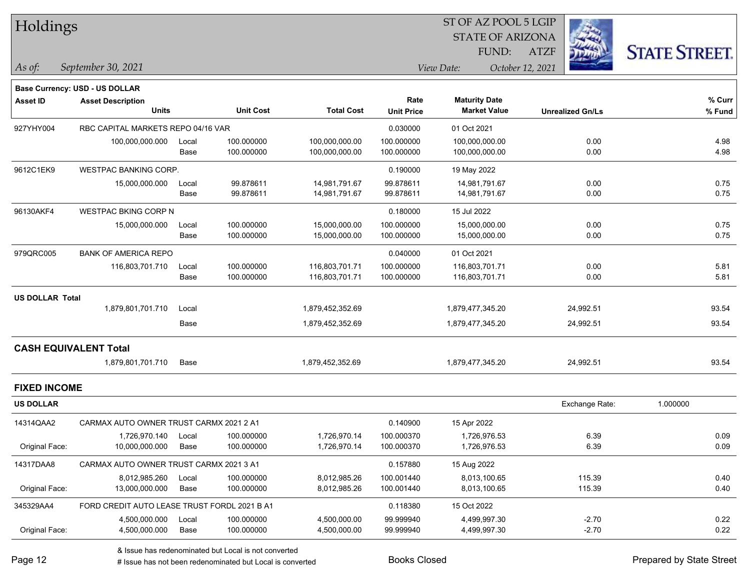| Holdings            |                                          |               |                          |                                  |                           | ST OF AZ POOL 5 LGIP                        |                         |                      |
|---------------------|------------------------------------------|---------------|--------------------------|----------------------------------|---------------------------|---------------------------------------------|-------------------------|----------------------|
|                     |                                          |               |                          |                                  |                           | <b>STATE OF ARIZONA</b>                     |                         |                      |
|                     |                                          |               |                          |                                  |                           | FUND:                                       | <b>ATZF</b>             | <b>STATE STREET.</b> |
| As of:              | September 30, 2021                       |               |                          |                                  |                           | View Date:                                  | October 12, 2021        |                      |
|                     | <b>Base Currency: USD - US DOLLAR</b>    |               |                          |                                  |                           |                                             |                         |                      |
| <b>Asset ID</b>     | <b>Asset Description</b><br><b>Units</b> |               | <b>Unit Cost</b>         | <b>Total Cost</b>                | Rate<br><b>Unit Price</b> | <b>Maturity Date</b><br><b>Market Value</b> | <b>Unrealized Gn/Ls</b> | % Curr<br>% Fund     |
| 927YHY004           | RBC CAPITAL MARKETS REPO 04/16 VAR       |               |                          |                                  | 0.030000                  | 01 Oct 2021                                 |                         |                      |
|                     | 100,000,000.000                          | Local<br>Base | 100.000000<br>100.000000 | 100,000,000.00<br>100,000,000.00 | 100.000000<br>100.000000  | 100,000,000.00<br>100,000,000.00            | 0.00<br>0.00            | 4.98<br>4.98         |
| 9612C1EK9           | <b>WESTPAC BANKING CORP.</b>             |               |                          |                                  | 0.190000                  | 19 May 2022                                 |                         |                      |
|                     | 15,000,000.000                           | Local<br>Base | 99.878611<br>99.878611   | 14,981,791.67<br>14,981,791.67   | 99.878611<br>99.878611    | 14,981,791.67<br>14,981,791.67              | 0.00<br>0.00            | 0.75<br>0.75         |
| 96130AKF4           | <b>WESTPAC BKING CORP N</b>              |               |                          |                                  | 0.180000                  | 15 Jul 2022                                 |                         |                      |
|                     | 15,000,000.000                           | Local<br>Base | 100.000000<br>100.000000 | 15,000,000.00<br>15,000,000.00   | 100.000000<br>100.000000  | 15,000,000.00<br>15,000,000.00              | 0.00<br>0.00            | 0.75<br>0.75         |
| 979QRC005           | <b>BANK OF AMERICA REPO</b>              |               |                          |                                  | 0.040000                  | 01 Oct 2021                                 |                         |                      |
|                     | 116,803,701.710                          | Local<br>Base | 100.000000<br>100.000000 | 116,803,701.71<br>116,803,701.71 | 100.000000<br>100.000000  | 116,803,701.71<br>116,803,701.71            | 0.00<br>0.00            | 5.81<br>5.81         |
| US DOLLAR Total     |                                          |               |                          |                                  |                           |                                             |                         |                      |
|                     | 1,879,801,701.710                        | Local         |                          | 1,879,452,352.69                 |                           | 1,879,477,345.20                            | 24,992.51               | 93.54                |
|                     |                                          | Base          |                          | 1,879,452,352.69                 |                           | 1,879,477,345.20                            | 24,992.51               | 93.54                |
|                     | <b>CASH EQUIVALENT Total</b>             |               |                          |                                  |                           |                                             |                         |                      |
|                     | 1,879,801,701.710                        | Base          |                          | 1,879,452,352.69                 |                           | 1,879,477,345.20                            | 24,992.51               | 93.54                |
| <b>FIXED INCOME</b> |                                          |               |                          |                                  |                           |                                             |                         |                      |
| <b>US DOLLAR</b>    |                                          |               |                          |                                  |                           |                                             | Exchange Rate:          | 1.000000             |
| 14314QAA2           | CARMAX AUTO OWNER TRUST CARMX 2021 2 A1  |               |                          |                                  | 0.140900                  | 15 Apr 2022                                 |                         |                      |
| Original Face:      | 1,726,970.140<br>10,000,000.000          | Local<br>Base | 100.000000<br>100.000000 | 1,726,970.14<br>1,726,970.14     | 100.000370<br>100.000370  | 1,726,976.53<br>1,726,976.53                | 6.39<br>6.39            | 0.09<br>0.09         |
| 14317DAA8           | CARMAX AUTO OWNER TRUST CARMX 2021 3 A1  |               |                          |                                  | 0.157880                  | 15 Aug 2022                                 |                         |                      |
|                     | 8.012.985.260 Local                      |               | 100.000000               | 8.012.985.26                     | 100.001440                | 8.013.100.65                                | 115.39                  | 0.40                 |

L

 $\mathbf{L}$ 

 $\overline{\phantom{a}}$ 

 $\overline{\phantom{0}}$ 

 $\overline{\phantom{0}}$ 

| <b>US DOLLAR</b> |                                              |       |            |              |            |              | Exchange Rate: | 1.000000 |
|------------------|----------------------------------------------|-------|------------|--------------|------------|--------------|----------------|----------|
| 14314QAA2        | CARMAX AUTO OWNER TRUST CARMX 2021 2 A1      |       |            |              | 0.140900   | 15 Apr 2022  |                |          |
|                  | .726.970.140                                 | Local | 100.000000 | 1.726.970.14 | 100.000370 | 1.726.976.53 | 6.39           | 0.09     |
| Original Face:   | 10.000.000.000                               | Base  | 100.000000 | 1.726.970.14 | 100.000370 | 1.726.976.53 | 6.39           | 0.09     |
| 14317DAA8        | CARMAX AUTO OWNER TRUST CARMX 2021 3 A1      |       |            |              | 0.157880   | 15 Aug 2022  |                |          |
|                  | 8.012.985.260                                | Local | 100.000000 | 8.012.985.26 | 100.001440 | 8.013.100.65 | 115.39         | 0.40     |
| Original Face:   | 13.000.000.000                               | Base  | 100.000000 | 8.012.985.26 | 100.001440 | 8.013.100.65 | 115.39         | 0.40     |
| 345329AA4        | FORD CREDIT AUTO LEASE TRUST FORDL 2021 B A1 |       |            |              | 0.118380   | 15 Oct 2022  |                |          |
|                  | 4.500.000.000                                | Local | 100.000000 | 4.500.000.00 | 99.999940  | 4.499.997.30 | $-2.70$        | 0.22     |
| Original Face:   | 4,500,000.000                                | Base  | 100.000000 | 4,500,000.00 | 99.999940  | 4,499,997.30 | $-2.70$        | 0.22     |

& Issue has redenominated but Local is not converted

# Issue has not been redenominated but Local is converted Books Closed Prepared by State Street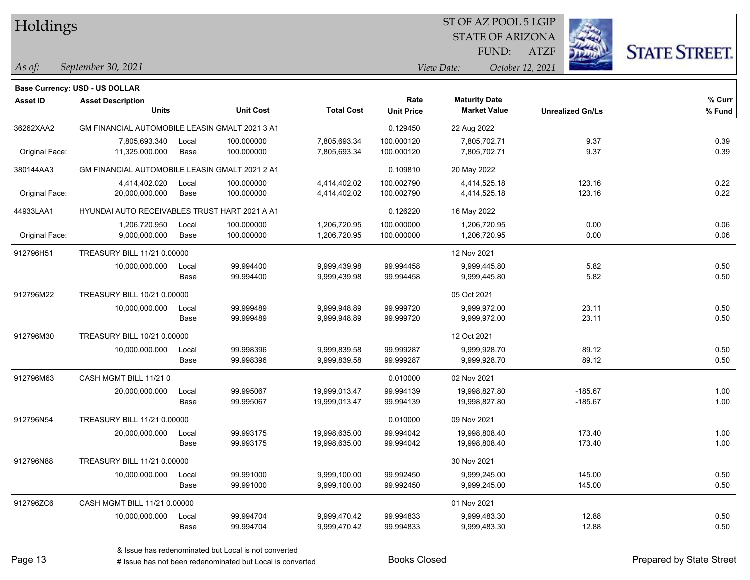| Holdings        |                                                      |       |                  |                   |                   |             | ST OF AZ POOL 5 LGIP    |                  |                         |                      |
|-----------------|------------------------------------------------------|-------|------------------|-------------------|-------------------|-------------|-------------------------|------------------|-------------------------|----------------------|
|                 |                                                      |       |                  |                   |                   |             | <b>STATE OF ARIZONA</b> |                  |                         |                      |
|                 |                                                      |       |                  |                   |                   |             | FUND:                   | <b>ATZF</b>      |                         | <b>STATE STREET.</b> |
|                 |                                                      |       |                  |                   |                   |             |                         |                  |                         |                      |
| $ $ As of:      | September 30, 2021                                   |       |                  |                   |                   | View Date:  |                         | October 12, 2021 |                         |                      |
|                 | <b>Base Currency: USD - US DOLLAR</b>                |       |                  |                   |                   |             |                         |                  |                         |                      |
| <b>Asset ID</b> | <b>Asset Description</b>                             |       |                  |                   | Rate              |             | <b>Maturity Date</b>    |                  |                         | % Curr               |
|                 | <b>Units</b>                                         |       | <b>Unit Cost</b> | <b>Total Cost</b> | <b>Unit Price</b> |             | <b>Market Value</b>     |                  | <b>Unrealized Gn/Ls</b> | % Fund               |
| 36262XAA2       | GM FINANCIAL AUTOMOBILE LEASIN GMALT 2021 3 A1       |       |                  |                   | 0.129450          | 22 Aug 2022 |                         |                  |                         |                      |
|                 | 7.805.693.340                                        | Local | 100.000000       | 7.805.693.34      | 100.000120        |             | 7.805.702.71            |                  | 9.37                    | 0.39                 |
| Original Face:  | 11,325,000.000                                       | Base  | 100.000000       | 7,805,693.34      | 100.000120        |             | 7,805,702.71            |                  | 9.37                    | 0.39                 |
| 380144AA3       | GM FINANCIAL AUTOMOBILE LEASIN GMALT 2021 2 A1       |       |                  |                   | 0.109810          | 20 May 2022 |                         |                  |                         |                      |
|                 | 4,414,402.020                                        | Local | 100.000000       | 4,414,402.02      | 100.002790        |             | 4,414,525.18            |                  | 123.16                  | 0.22                 |
| Original Face:  | 20,000,000.000                                       | Base  | 100.000000       | 4,414,402.02      | 100.002790        |             | 4,414,525.18            |                  | 123.16                  | 0.22                 |
| 44933LAA1       | <b>HYUNDAI AUTO RECEIVABLES TRUST HART 2021 A A1</b> |       |                  |                   | 0.126220          | 16 May 2022 |                         |                  |                         |                      |
|                 | 1,206,720.950                                        | Local | 100.000000       | 1,206,720.95      | 100.000000        |             | 1,206,720.95            |                  | 0.00                    | 0.06                 |
| Original Face:  | 9,000,000.000                                        | Base  | 100.000000       | 1,206,720.95      | 100.000000        |             | 1,206,720.95            |                  | 0.00                    | 0.06                 |
| 912796H51       | TREASURY BILL 11/21 0.00000                          |       |                  |                   |                   | 12 Nov 2021 |                         |                  |                         |                      |
|                 | 10,000,000.000                                       | Local | 99.994400        | 9,999,439.98      | 99.994458         |             | 9,999,445.80            |                  | 5.82                    | 0.50                 |
|                 |                                                      | Base  | 99.994400        | 9,999,439.98      | 99.994458         |             | 9,999,445.80            |                  | 5.82                    | 0.50                 |
| 912796M22       | TREASURY BILL 10/21 0.00000                          |       |                  |                   |                   | 05 Oct 2021 |                         |                  |                         |                      |
|                 | 10,000,000.000                                       | Local | 99.999489        | 9,999,948.89      | 99.999720         |             | 9,999,972.00            |                  | 23.11                   | 0.50                 |

| 0121001122 |                              |               |                        |                              |                        |                              |                |              |
|------------|------------------------------|---------------|------------------------|------------------------------|------------------------|------------------------------|----------------|--------------|
|            | 10,000,000.000               | Local<br>Base | 99.999489<br>99.999489 | 9,999,948.89<br>9,999,948.89 | 99.999720<br>99.999720 | 9,999,972.00<br>9,999,972.00 | 23.11<br>23.11 | 0.50<br>0.50 |
| 912796M30  | TREASURY BILL 10/21 0.00000  |               |                        |                              |                        | 12 Oct 2021                  |                |              |
|            |                              |               |                        |                              |                        |                              |                |              |
|            | 10,000,000.000               | Local         | 99.998396              | 9,999,839.58                 | 99.999287              | 9,999,928.70                 | 89.12          | 0.50         |
|            |                              | Base          | 99.998396              | 9,999,839.58                 | 99.999287              | 9,999,928.70                 | 89.12          | 0.50         |
| 912796M63  | CASH MGMT BILL 11/21 0       |               |                        |                              | 0.010000               | 02 Nov 2021                  |                |              |
|            | 20,000,000.000               | Local         | 99.995067              | 19,999,013.47                | 99.994139              | 19,998,827.80                | $-185.67$      | 1.00         |
|            |                              | Base          | 99.995067              | 19,999,013.47                | 99.994139              | 19,998,827.80                | $-185.67$      | 1.00         |
| 912796N54  | TREASURY BILL 11/21 0.00000  |               |                        |                              | 0.010000               | 09 Nov 2021                  |                |              |
|            | 20,000,000.000               | Local         | 99.993175              | 19,998,635.00                | 99.994042              | 19,998,808.40                | 173.40         | 1.00         |
|            |                              | Base          | 99.993175              | 19,998,635.00                | 99.994042              | 19,998,808.40                | 173.40         | 1.00         |
| 912796N88  | TREASURY BILL 11/21 0.00000  |               |                        |                              |                        | 30 Nov 2021                  |                |              |
|            | 10,000,000.000               | Local         | 99.991000              | 9,999,100.00                 | 99.992450              | 9,999,245.00                 | 145.00         | 0.50         |
|            |                              | Base          | 99.991000              | 9,999,100.00                 | 99.992450              | 9,999,245.00                 | 145.00         | 0.50         |
| 912796ZC6  | CASH MGMT BILL 11/21 0.00000 |               |                        |                              |                        | 01 Nov 2021                  |                |              |
|            | 10,000,000.000               | Local         | 99.994704              | 9,999,470.42                 | 99.994833              | 9,999,483.30                 | 12.88          | 0.50         |
|            |                              | Base          | 99.994704              | 9,999,470.42                 | 99.994833              | 9,999,483.30                 | 12.88          | 0.50         |
|            |                              |               |                        |                              |                        |                              |                |              |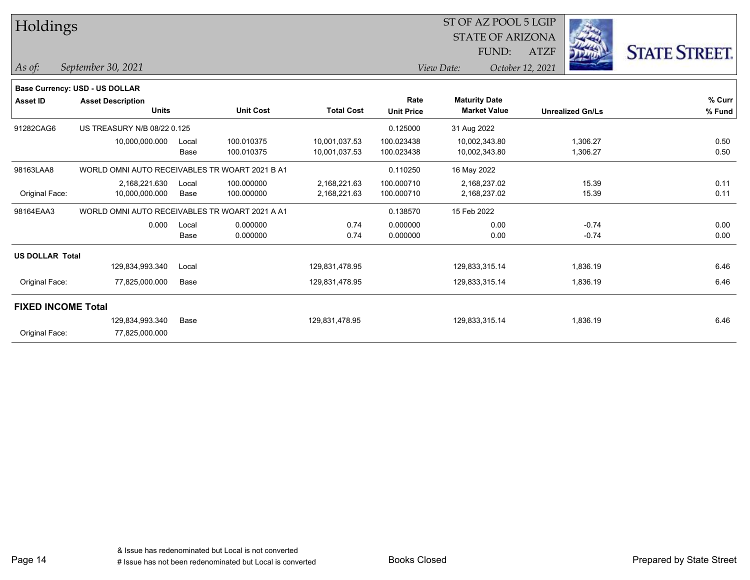| Holdings                  |                                                |               |                          |                                | ST OF AZ POOL 5 LGIP<br><b>STATE OF ARIZONA</b> |                                             |                  |                         |                      |
|---------------------------|------------------------------------------------|---------------|--------------------------|--------------------------------|-------------------------------------------------|---------------------------------------------|------------------|-------------------------|----------------------|
|                           |                                                |               |                          |                                |                                                 | FUND:                                       | <b>ATZF</b>      |                         | <b>STATE STREET.</b> |
| As of:                    | September 30, 2021                             |               |                          |                                |                                                 | View Date:                                  | October 12, 2021 |                         |                      |
|                           | Base Currency: USD - US DOLLAR                 |               |                          |                                |                                                 |                                             |                  |                         |                      |
| <b>Asset ID</b>           | <b>Asset Description</b><br><b>Units</b>       |               | <b>Unit Cost</b>         | <b>Total Cost</b>              | Rate<br><b>Unit Price</b>                       | <b>Maturity Date</b><br><b>Market Value</b> |                  | <b>Unrealized Gn/Ls</b> | % Curr<br>% Fund     |
| 91282CAG6                 | US TREASURY N/B 08/22 0.125                    |               |                          |                                | 0.125000                                        | 31 Aug 2022                                 |                  |                         |                      |
|                           | 10,000,000.000                                 | Local<br>Base | 100.010375<br>100.010375 | 10,001,037.53<br>10,001,037.53 | 100.023438<br>100.023438                        | 10,002,343.80<br>10,002,343.80              |                  | 1,306.27<br>1,306.27    | 0.50<br>0.50         |
| 98163LAA8                 | WORLD OMNI AUTO RECEIVABLES TR WOART 2021 B A1 |               |                          |                                | 0.110250                                        | 16 May 2022                                 |                  |                         |                      |
| Original Face:            | 2,168,221.630<br>10,000,000.000                | Local<br>Base | 100.000000<br>100.000000 | 2,168,221.63<br>2,168,221.63   | 100.000710<br>100.000710                        | 2,168,237.02<br>2,168,237.02                |                  | 15.39<br>15.39          | 0.11<br>0.11         |
| 98164EAA3                 | WORLD OMNI AUTO RECEIVABLES TR WOART 2021 A A1 |               |                          |                                | 0.138570                                        | 15 Feb 2022                                 |                  |                         |                      |
|                           | 0.000                                          | Local<br>Base | 0.000000<br>0.000000     | 0.74<br>0.74                   | 0.000000<br>0.000000                            | 0.00<br>0.00                                |                  | $-0.74$<br>$-0.74$      | 0.00<br>0.00         |
| <b>US DOLLAR Total</b>    |                                                |               |                          |                                |                                                 |                                             |                  |                         |                      |
|                           | 129,834,993.340                                | Local         |                          | 129,831,478.95                 |                                                 | 129,833,315.14                              |                  | 1,836.19                | 6.46                 |
| Original Face:            | 77,825,000.000                                 | Base          |                          | 129,831,478.95                 |                                                 | 129,833,315.14                              |                  | 1,836.19                | 6.46                 |
| <b>FIXED INCOME Total</b> |                                                |               |                          |                                |                                                 |                                             |                  |                         |                      |
| Original Face:            | 129,834,993.340<br>77,825,000.000              | Base          |                          | 129,831,478.95                 |                                                 | 129,833,315.14                              |                  | 1,836.19                | 6.46                 |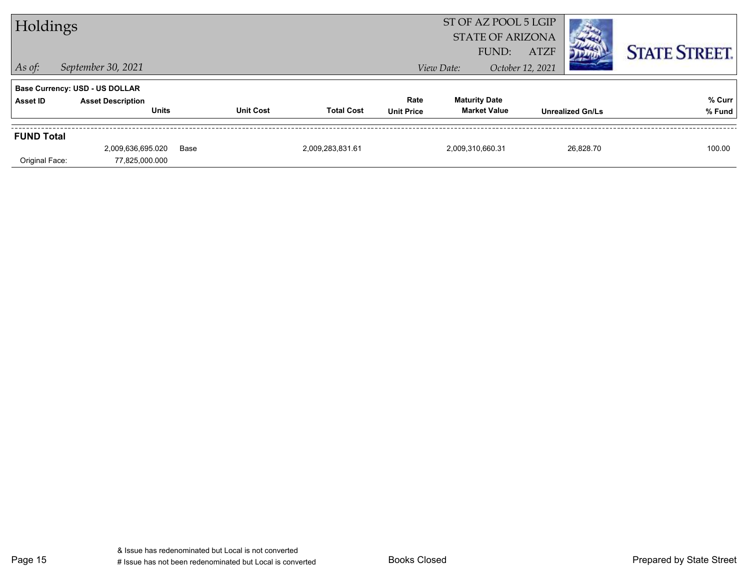| Holdings          |                                                                   |      |                  |                   |                   | ST OF AZ POOL 5 LGIP<br><b>STATE OF ARIZONA</b> |                                 |                         |                      |
|-------------------|-------------------------------------------------------------------|------|------------------|-------------------|-------------------|-------------------------------------------------|---------------------------------|-------------------------|----------------------|
| $\vert$ As of:    | September 30, 2021                                                |      |                  |                   |                   | FUND:<br>View Date:                             | <b>ATZF</b><br>October 12, 2021 |                         | <b>STATE STREET.</b> |
| <b>Asset ID</b>   | <b>Base Currency: USD - US DOLLAR</b><br><b>Asset Description</b> |      |                  |                   | Rate              | <b>Maturity Date</b>                            |                                 |                         | % Curr               |
|                   | <b>Units</b>                                                      |      | <b>Unit Cost</b> | <b>Total Cost</b> | <b>Unit Price</b> | <b>Market Value</b>                             |                                 | <b>Unrealized Gn/Ls</b> | % Fund               |
| <b>FUND Total</b> |                                                                   |      |                  |                   |                   |                                                 |                                 |                         |                      |
|                   | 2,009,636,695.020                                                 | Base |                  | 2,009,283,831.61  |                   | 2,009,310,660.31                                |                                 | 26.828.70               | 100.00               |
| Original Face:    | 77,825,000.000                                                    |      |                  |                   |                   |                                                 |                                 |                         |                      |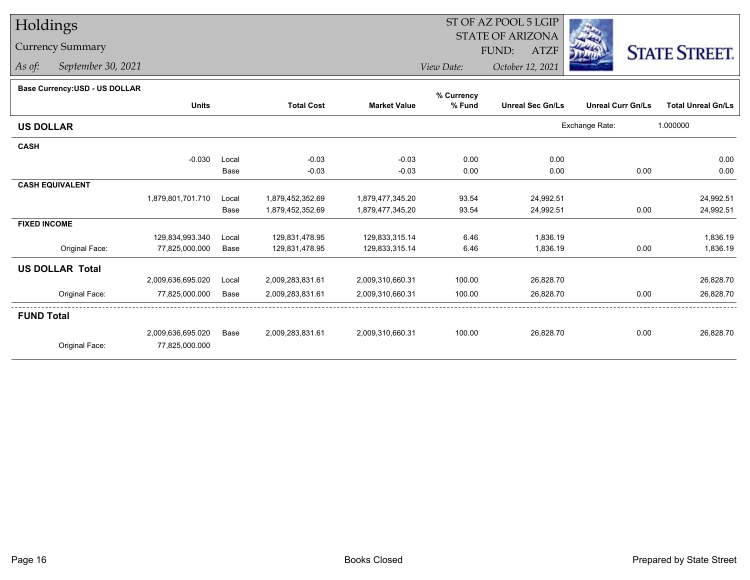# Holdings

## Currency Summary

*As of: September 30, 2021*

#### ST OF AZ POOL 5 LGIP STATE OF ARIZONAATZF FUND:



*View Date:October 12, 2021*

#### **Base Currency:USD - US DOLLAR**

|                        |                   |       |                   |                     | % Currency |                         |                          |                           |
|------------------------|-------------------|-------|-------------------|---------------------|------------|-------------------------|--------------------------|---------------------------|
|                        | <b>Units</b>      |       | <b>Total Cost</b> | <b>Market Value</b> | % Fund     | <b>Unreal Sec Gn/Ls</b> | <b>Unreal Curr Gn/Ls</b> | <b>Total Unreal Gn/Ls</b> |
| <b>US DOLLAR</b>       |                   |       |                   |                     |            |                         | Exchange Rate:           | 1.000000                  |
| <b>CASH</b>            |                   |       |                   |                     |            |                         |                          |                           |
|                        | $-0.030$          | Local | $-0.03$           | $-0.03$             | 0.00       | 0.00                    |                          | 0.00                      |
|                        |                   | Base  | $-0.03$           | $-0.03$             | 0.00       | 0.00                    | 0.00                     | 0.00                      |
| <b>CASH EQUIVALENT</b> |                   |       |                   |                     |            |                         |                          |                           |
|                        | 1,879,801,701.710 | Local | 1,879,452,352.69  | 1,879,477,345.20    | 93.54      | 24,992.51               |                          | 24,992.51                 |
|                        |                   | Base  | 1,879,452,352.69  | 1,879,477,345.20    | 93.54      | 24,992.51               | 0.00                     | 24,992.51                 |
| <b>FIXED INCOME</b>    |                   |       |                   |                     |            |                         |                          |                           |
|                        | 129,834,993.340   | Local | 129,831,478.95    | 129,833,315.14      | 6.46       | 1,836.19                |                          | 1,836.19                  |
| Original Face:         | 77,825,000.000    | Base  | 129,831,478.95    | 129,833,315.14      | 6.46       | 1,836.19                | 0.00                     | 1,836.19                  |
| <b>US DOLLAR Total</b> |                   |       |                   |                     |            |                         |                          |                           |
|                        | 2,009,636,695.020 | Local | 2,009,283,831.61  | 2,009,310,660.31    | 100.00     | 26,828.70               |                          | 26,828.70                 |
| Original Face:         | 77,825,000.000    | Base  | 2,009,283,831.61  | 2,009,310,660.31    | 100.00     | 26,828.70               | 0.00                     | 26,828.70                 |
| <b>FUND Total</b>      |                   |       |                   |                     |            |                         |                          |                           |
|                        | 2,009,636,695.020 | Base  | 2,009,283,831.61  | 2,009,310,660.31    | 100.00     | 26,828.70               | 0.00                     | 26,828.70                 |
| Original Face:         | 77,825,000.000    |       |                   |                     |            |                         |                          |                           |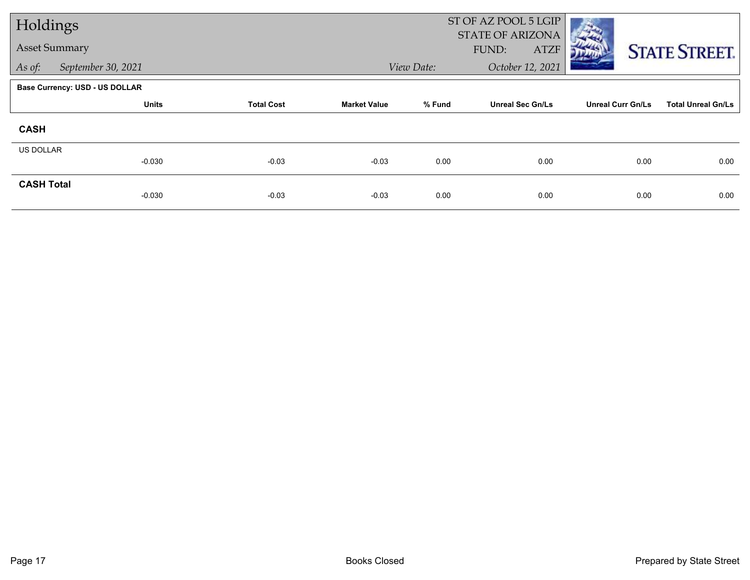| Holdings          |                                |                   |                     |            | ST OF AZ POOL 5 LGIP                     |                          |                           |
|-------------------|--------------------------------|-------------------|---------------------|------------|------------------------------------------|--------------------------|---------------------------|
|                   | <b>Asset Summary</b>           |                   |                     |            | STATE OF ARIZONA<br>FUND:<br><b>ATZF</b> |                          | <b>STATE STREET.</b>      |
| As of:            | September 30, 2021             |                   |                     | View Date: | October 12, 2021                         |                          |                           |
|                   | Base Currency: USD - US DOLLAR |                   |                     |            |                                          |                          |                           |
|                   | <b>Units</b>                   | <b>Total Cost</b> | <b>Market Value</b> | % Fund     | <b>Unreal Sec Gn/Ls</b>                  | <b>Unreal Curr Gn/Ls</b> | <b>Total Unreal Gn/Ls</b> |
| <b>CASH</b>       |                                |                   |                     |            |                                          |                          |                           |
| <b>US DOLLAR</b>  |                                |                   |                     |            |                                          |                          |                           |
|                   | $-0.030$                       | $-0.03$           | $-0.03$             | 0.00       | 0.00                                     | 0.00                     | 0.00                      |
| <b>CASH Total</b> | $-0.030$                       | $-0.03$           | $-0.03$             | 0.00       | 0.00                                     | 0.00                     | 0.00                      |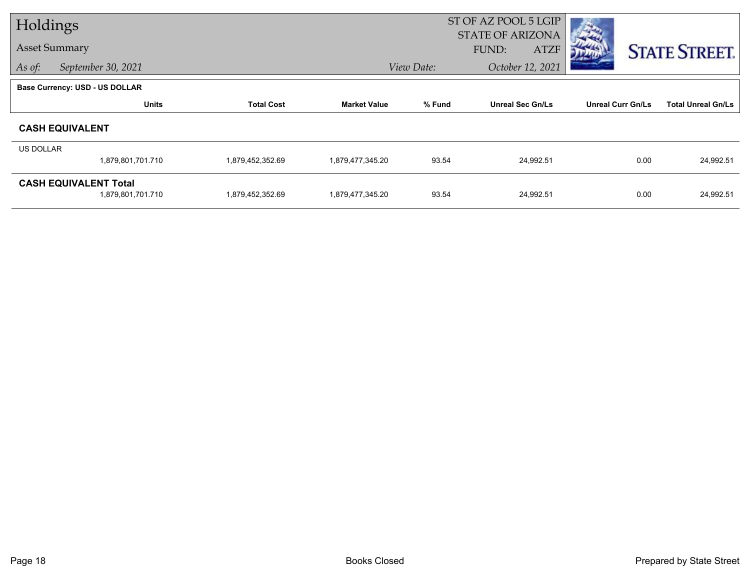| Holdings         |                                       |                   |                     |            | ST OF AZ POOL 5 LGIP<br><b>STATE OF ARIZONA</b> |                          |                           |
|------------------|---------------------------------------|-------------------|---------------------|------------|-------------------------------------------------|--------------------------|---------------------------|
|                  | <b>Asset Summary</b>                  |                   |                     |            | FUND:<br><b>ATZF</b>                            |                          | <b>STATE STREET.</b>      |
| As of:           | September 30, 2021                    |                   |                     | View Date: | October 12, 2021                                |                          |                           |
|                  | <b>Base Currency: USD - US DOLLAR</b> |                   |                     |            |                                                 |                          |                           |
|                  | <b>Units</b>                          | <b>Total Cost</b> | <b>Market Value</b> | % Fund     | <b>Unreal Sec Gn/Ls</b>                         | <b>Unreal Curr Gn/Ls</b> | <b>Total Unreal Gn/Ls</b> |
|                  | <b>CASH EQUIVALENT</b>                |                   |                     |            |                                                 |                          |                           |
| <b>US DOLLAR</b> |                                       |                   |                     |            |                                                 |                          |                           |
|                  | 1,879,801,701.710                     | 1,879,452,352.69  | 1,879,477,345.20    | 93.54      | 24,992.51                                       | 0.00                     | 24,992.51                 |
|                  | <b>CASH EQUIVALENT Total</b>          |                   |                     |            |                                                 |                          |                           |
|                  | 1,879,801,701.710                     | 1,879,452,352.69  | 1,879,477,345.20    | 93.54      | 24,992.51                                       | 0.00                     | 24,992.51                 |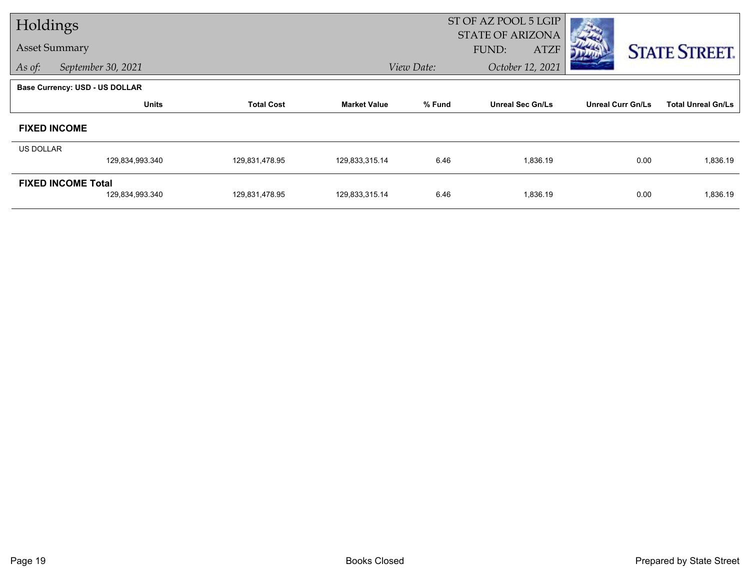| Holdings         |                                              |                   |                     |                  | ST OF AZ POOL 5 LGIP                            |                          |                           |
|------------------|----------------------------------------------|-------------------|---------------------|------------------|-------------------------------------------------|--------------------------|---------------------------|
|                  | <b>Asset Summary</b>                         |                   |                     |                  | <b>STATE OF ARIZONA</b><br>FUND:<br><b>ATZF</b> |                          | <b>STATE STREET.</b>      |
| As of:           | September 30, 2021                           |                   | View Date:          | October 12, 2021 |                                                 |                          |                           |
|                  | <b>Base Currency: USD - US DOLLAR</b>        |                   |                     |                  |                                                 |                          |                           |
|                  | <b>Units</b>                                 | <b>Total Cost</b> | <b>Market Value</b> | % Fund           | <b>Unreal Sec Gn/Ls</b>                         | <b>Unreal Curr Gn/Ls</b> | <b>Total Unreal Gn/Ls</b> |
|                  | <b>FIXED INCOME</b>                          |                   |                     |                  |                                                 |                          |                           |
| <b>US DOLLAR</b> |                                              |                   |                     |                  |                                                 |                          |                           |
|                  | 129,834,993.340                              | 129,831,478.95    | 129,833,315.14      | 6.46             | 1,836.19                                        | 0.00                     | 1,836.19                  |
|                  | <b>FIXED INCOME Total</b><br>129,834,993.340 | 129,831,478.95    | 129,833,315.14      | 6.46             | 1,836.19                                        | 0.00                     | 1,836.19                  |
|                  |                                              |                   |                     |                  |                                                 |                          |                           |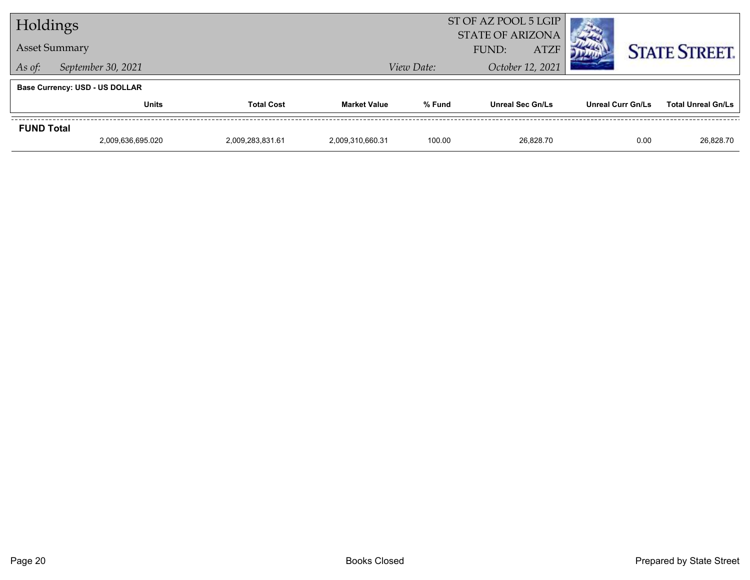| Holdings                     |                                       |                  |                  |                      | ST OF AZ POOL 5 LGIP<br><b>STATE OF ARIZONA</b> |                          |                           |
|------------------------------|---------------------------------------|------------------|------------------|----------------------|-------------------------------------------------|--------------------------|---------------------------|
| <b>Asset Summary</b>         |                                       |                  |                  | <b>ATZF</b><br>FUND: |                                                 |                          | <b>STATE STREET.</b>      |
| September 30, 2021<br>As of: |                                       |                  |                  | View Date:           | October 12, 2021                                |                          |                           |
|                              | <b>Base Currency: USD - US DOLLAR</b> |                  |                  |                      |                                                 |                          |                           |
|                              | <b>Units</b><br><b>Total Cost</b>     |                  |                  | % Fund               | <b>Unreal Sec Gn/Ls</b>                         | <b>Unreal Curr Gn/Ls</b> | <b>Total Unreal Gn/Ls</b> |
| <b>FUND Total</b>            |                                       |                  |                  |                      |                                                 |                          |                           |
|                              | 2.009.636.695.020                     | 2,009,283,831.61 | 2.009.310.660.31 | 100.00               | 26.828.70                                       | 0.00                     | 26.828.70                 |